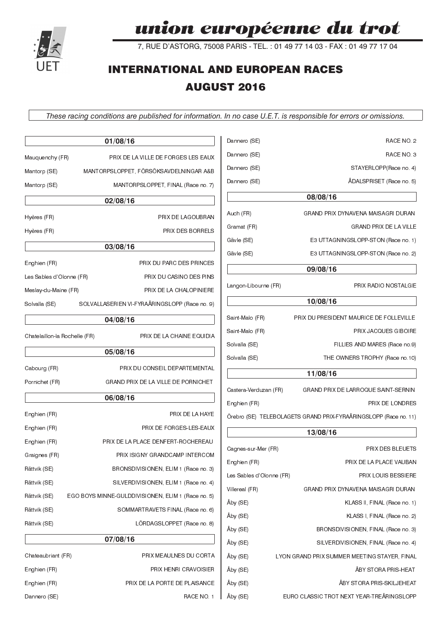# union européenne du trot

7, RUE D'ASTORG, 75008 PARIS - TEL. : 01 49 77 14 03 - FAX : 01 49 77 17 04

# **INTERNATIONAL AND EUROPEAN RACES AUGUST 2016**

*These racing conditions are published for information. In no case U.E.T. is responsible for errors or omissions.*

|                               | 01/08/16                                           | Dannero (SE)             | RACE NO. 2                                                       |
|-------------------------------|----------------------------------------------------|--------------------------|------------------------------------------------------------------|
| Mauquenchy (FR)               | PRIX DE LA VILLE DE FORGES LES EAUX                | Dannero (SE)             | RACE NO. 3                                                       |
| Mantorp (SE)                  | MANTORPSLOPPET, FÖRSÖKSAVDELNINGAR A&B             | Dannero (SE)             | STAYERLOPP(Race no. 4)                                           |
| Mantorp (SE)                  | MANTORPSLOPPET, FINAL (Race no. 7)                 | Dannero (SE)             | ÅDALSPRISET (Race no. 5)                                         |
|                               | 02/08/16                                           |                          | 08/08/16                                                         |
| Hyères (FR)                   | PRIX DE LAGOUBRAN                                  | Auch (FR)                | GRAND PRIX DYNAVENA MAISAGRI DURAN                               |
| Hyères (FR)                   | PRIX DES BORRELS                                   | Gramat (FR)              | GRAND PRIX DE LA VILLE                                           |
|                               |                                                    | Gävle (SE)               | E3 UTTAGNINGSLOPP-STON (Race no. 1)                              |
|                               | 03/08/16                                           | Gävle (SE)               | E3 UTTAGNINGSLOPP-STON (Race no. 2)                              |
| Enghien (FR)                  | PRIX DU PARC DES PRINCES                           |                          | 09/08/16                                                         |
| Les Sables d'Olonne (FR)      | PRIX DU CASINO DES PINS                            |                          |                                                                  |
| Meslay-du-Maine (FR)          | PRIX DE LA CHALOPINIERE                            | Langon-Libourne (FR)     | PRIX RADIO NOSTALGIE                                             |
| Solvalla (SE)                 | SOLVALLASERIEN VI-FYRAÅRINGSLOPP (Race no. 9)      |                          | 10/08/16                                                         |
|                               | 04/08/16                                           | Saint-Malo (FR)          | PRIX DU PRESIDENT MAURICE DE FOLLEVILLE                          |
| Chatelaillon-la Rochelle (FR) | PRIX DE LA CHAINE EQUIDIA                          | Saint-Malo (FR)          | PRIX JACQUES GIBOIRE                                             |
|                               | 05/08/16                                           | Solvalla (SE)            | FILLIES AND MARES (Race no.9)                                    |
|                               |                                                    | Solvalla (SE)            | THE OWNERS TROPHY (Race no.10)                                   |
| Cabourg (FR)                  | PRIX DU CONSEIL DEPARTEMENTAL                      |                          | 11/08/16                                                         |
| Pornichet (FR)                | GRAND PRIX DE LA VILLE DE PORNICHET                | Castera-Verduzan (FR)    | GRAND PRIX DE LARROQUE SAINT-SERNIN                              |
|                               | 06/08/16                                           | Enghien (FR)             | PRIX DE LONDRES                                                  |
| Enghien (FR)                  | PRIX DE LA HAYE                                    |                          | Örebro (SE) TELEBOLAGETS GRAND PRIX-FYRAÅRINGSLOPP (Race no. 11) |
| Enghien (FR)                  | PRIX DE FORGES-LES-EAUX                            |                          | 13/08/16                                                         |
| Enghien (FR)                  | PRIX DE LA PLACE DENFERT-ROCHEREAU                 |                          |                                                                  |
| Graignes (FR)                 | PRIX ISIGNY GRANDCAMP INTERCOM                     | Cagnes-sur-Mer (FR)      | PRIX DES BLEUETS                                                 |
| Rättvik (SE)                  | BRONSDIVISIONEN, ELIM 1 (Race no. 3)               | Enghien (FR)             | PRIX DE LA PLACE VAUBAN                                          |
| Rättvik (SE)                  | SILVERDIVISIONEN, ELIM 1 (Race no. 4)              | Les Sables d'Olonne (FR) | PRIX LOUIS BESSIERE                                              |
| Rättvik (SE)                  | EGO BOYS MINNE-GULDDIVISIONEN, ELIM 1 (Race no. 5) | Villereal (FR)           | GRAND PRIX DYNAVENA MAISAGRI DURAN                               |
| Rättvik (SE)                  | SOMMARTRAVETS FINAL (Race no. 6)                   | Åby (SE)                 | KLASS II, FINAL (Race no. 1)                                     |
| Rättvik (SE)                  | LORDAGSLOPPET (Race no. 8)                         | Åby (SE)                 | KLASS I, FINAL (Race no. 2)                                      |
|                               | 07/08/16                                           | Åby (SE)                 | BRONSDIVISIONEN, FINAL (Race no. 3)                              |
|                               |                                                    | Åby (SE)                 | SILVERDIVISIONEN, FINAL (Race no. 4)                             |
| Chateaubriant (FR)            | PRIX MEAULNES DU CORTA                             | Åby (SE)                 | LYON GRAND PRIX SUMMER MEETING STAYER, FINAL                     |
| Enghien (FR)                  | PRIX HENRI CRAVOISIER                              | Åby (SE)                 | ÅBY STORA PRIS-HEAT                                              |
| Enghien (FR)                  | PRIX DE LA PORTE DE PLAISANCE                      | Åby (SE)                 | ÅBY STORA PRIS-SKILJEHEAT                                        |
| Dannero (SE)                  | RACE NO. 1                                         | Åby (SE)                 | EURO CLASSIC TROT NEXT YEAR-TREÂRINGSLOPP                        |

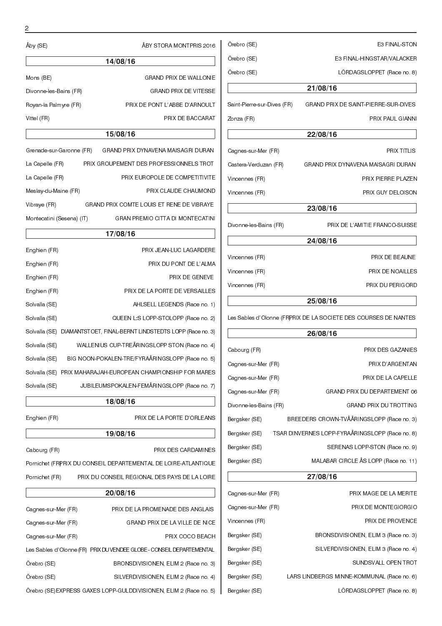| Örebro (SE)                 | <b>E3 FINAL-STON</b>                 |  |  |
|-----------------------------|--------------------------------------|--|--|
| Örebro (SE)                 | E3 FINAL-HINGSTAR/VALACKER           |  |  |
| Örebro (SE)                 | LÖRDAGSLOPPET (Race no. 8)           |  |  |
| 21/08/16                    |                                      |  |  |
| Saint Pierre sur Dives (FR) | GRAND PRIX DE SAINT-PIERRE-SUR-DIVES |  |  |
| Zonza (FR)                  | PRIX PAUL GIANNI                     |  |  |
|                             | 22/08/16                             |  |  |
| Cagnes sur-Mer (FR)         | <b>PRIX TITLIS</b>                   |  |  |
| Castera-Verduzan (FR)       | GRAND PRIX DYNAVENA MAISAGRI DURAN   |  |  |
| Vincennes (FR)              | PRIX PIERRE PLAZEN                   |  |  |
| Vincennes (FR)              | PRIX GUY DELOISON                    |  |  |
|                             | 23/08/16                             |  |  |
| Divonne-les-Bains (FR)      | PRIX DE L'AMITIE FRANCO-SUISSE       |  |  |
| 24/08/16                    |                                      |  |  |
| Vincennes (FR)              | PRIX DE BEAUNE                       |  |  |
| Vincennes (FR)              | PRIX DE NOAILLES                     |  |  |
| Vincennes (FR)              | <b>PRIX DU PERIGORD</b>              |  |  |
|                             | $-100110$                            |  |  |

Les Sables d'Olonne (FRPRIX DE LA SOCIETE DES COURSES DE NANTES

| 26/08/16               |  |                                                 |  |
|------------------------|--|-------------------------------------------------|--|
| Cabourg (FR)           |  | PRIX DES GAZANIES                               |  |
| Cagnes-sur-Mer (FR)    |  | PRIX D'ARGENTAN                                 |  |
| Cagnes-sur-Mer (FR)    |  | PRIX DE LA CAPELLE                              |  |
| Cagnes-sur-Mer (FR)    |  | GRAND PRIX DU DEPARTEMENT 06                    |  |
| Divonne les Bains (FR) |  | <b>GRAND PRIX DU TROTTING</b>                   |  |
| Bergsker (SE)          |  | BREEDERS CROWN-TVÅÅRINGSLOPP (Race no. 3)       |  |
| Bergsker (SE)          |  | TSAR DINVERNES LOPP-FYRAÅRINGSLOPP (Race no. 8) |  |
| Bergsker (SE)          |  | SERENAS LOPP-STON (Race no. 9)                  |  |
| Bergsker (SE)          |  | MALABAR CIRCLE ÅS LOPP (Race no. 11)            |  |
|                        |  | 27/00/16                                        |  |

|                     | 27/08/16                                   |
|---------------------|--------------------------------------------|
| Cagnes sur Mer (FR) | PRIX MAGE DE LA MERITE                     |
| Cagnes sur Mer (FR) | PRIX DE MONTEGIORGIO                       |
| Vincennes (FR)      | PRIX DE PROVENCE                           |
| Bergsker (SE)       | BRONSDIVISIONEN, ELIM 3 (Race no. 3)       |
| Bergsker (SE)       | SILVERDIVISIONEN, ELIM 3 (Race no. 4)      |
| Bergsker (SE)       | SUNDSVALL OPEN TROT                        |
| Bergsker (SE)       | LARS LINDBERGS MINNE-KOMMUNAL (Race no. 6) |
| Bergsker (SE)       | LÖRDAGSLOPPET (Race no. 8)                 |

| Aby(SE)                | ÅBY STORA MONTPRIS 2016       |
|------------------------|-------------------------------|
|                        | 14/08/16                      |
| Mons (BE)              | <b>GRAND PRIX DE WALLONIE</b> |
| Divonne les Bains (FR) | <b>GRAND PRIX DE VITESSE</b>  |
| Royan-la Palmyre (FR)  | PRIX DE PONT L'ABBE D'ARNOULT |
| Vittel (FR)            | PRIX DE BACCARAT              |
|                        |                               |

### **15/08/16**

| Grenade sur Garonne (FR)  | GRAND PRIX DYNAVENA MAISAGRI DURAN        |
|---------------------------|-------------------------------------------|
| La Capelle (FR)           | PRIX GROUPEMENT DES PROFESSIONNELS TROT   |
| La Capelle (FR)           | PRIX EUROPOLE DE COMPETITIVITE            |
| Meslay du Maine (FR)      | PRIX CLAUDE CHAUMOND                      |
| Vibraye (FR)              | GRAND PRIX COMTE LOUIS ET RENE DE VIBRAYE |
| Montecatini (Sesena) (IT) | <b>GRAN PREMIO CITTA DI MONTECATINI</b>   |
|                           |                                           |

|               | 17/08/16                                                             |
|---------------|----------------------------------------------------------------------|
| Enghien (FR)  | PRIX JEAN-LUC LAGARDERE                                              |
| Enghien (FR)  | PRIX DU PONT DE L'ALMA                                               |
| Enghien (FR)  | PRIX DE GENEVE                                                       |
| Enghien (FR)  | PRIX DE LA PORTE DE VERSAILLES                                       |
| Solvalla (SE) | AHLSELL LEGENDS (Race no. 1)                                         |
| Solvalla (SE) | QUEEN L'S LOPP STOLOPP (Race no. 2)                                  |
|               | Solvalla (SE) DIAMANTSTOET, FINAL-BERNT LINDSTEDTS LOPP (Race no. 3) |
| Solvalla (SE) | WALLENIUS CUP-TREARINGSLOPP STON (Race no. 4)                        |
| Solvalla (SE) | BIG NOON-POKALEN-TRE/FYRAÅRINGSLOPP (Race no. 5)                     |
|               | Solvalla (SE) PRIX MAHARAJAH-EUROPEAN CHAMPIONSHIP FOR MARES         |
| Solvalla (SE) | JUBILEUMSPOKALEN-FEMÅRINGSLOPP (Race no. 7)                          |

| 18/08/16 |  |
|----------|--|
|          |  |

Enghien (FR) PRIX DE LA PORTE D'ORLEANS

-f

**19/08/16** Cabourg (FR) PRIX DES CARDAMINES Pornichet (FRPRIX DU CONSEIL DEPARTEMENTAL DE LOIRE-ATLANTIQUE Pornichet (FR) PRIX DU CONSEIL REGIONAL DES PAYS DE LA LOIRE

|                     | 20/08/16                                                              |
|---------------------|-----------------------------------------------------------------------|
| Cagnes sur Mer (FR) | PRIX DE LA PROMENADE DES ANGLAIS                                      |
| Cagnes sur Mer (FR) | GRAND PRIX DE LA VILLE DE NICE                                        |
| Cagnes sur Mer (FR) | PRIX COCO BEACH                                                       |
|                     | Les Sables d'Olonne (FR) PRIX DU VENDEE GLOBE - CONSEIL DEPARTEMENTAL |
| Örebro (SE)         | BRONSDIVISIONEN, ELIM 2 (Race no. 3)                                  |
| Örebro (SE)         | SILVERDIVISIONEN, ELIM 2 (Race no. 4)                                 |
|                     | Orebro (SE) EXPRESS GAXES LOPP-GULDDIVISIONEN, ELIM 2 (Race no. 5)    |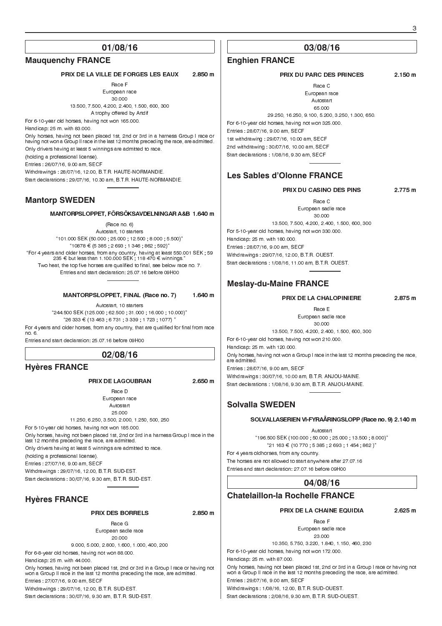### **Mauquenchy FRANCE**

### PRIX DE LA VILLE DE FORGES LES EAUX 2.850 m

Race F European race

30.000 13.500, 7.500, 4.200, 2.400, 1.500, 600, 300 A trophy offered by Artdif

For 6-10-year old horses, having not won 165.000. Handicap: 25 m. with 83.000.

Only horses, having not been placed 1st, 2nd or 3rd in a harness Group I race or having not won a Group II race in the last 12 months preceding the race, are admitted. Only drivers having at least 5 winnings are admitted to race. (holding a professional license). Entries : 26/07/16, 9.00 am, SECF Withdrawings : 28/07/16, 12.00, B.T.R. HAUTE-NORMANDIE.

Start declarations : 29/07/16, 10.30 am, B.T.R. HAUTE-NORMANDIE.

### **Mantorp SWEDEN**

#### MANTORPSLOPPET, FÖRSÖKSAVDELNINGAR A&B 1.640 m

(Race no. 6) Autostart, 10 starters 101.000 SEK (50.000 ; 25.000 ; 12.500 ; 8.000 ; 5.500)  $"10878 \in (5385, 2693, 1346, 862, 592)"$ "For 4 years and older horses, from any country, having at least 550.001 SEK ; 59<br>235 € but less than 1.100.000 SEK ; 118 470 € winnings." Two heat, the top five horses are qualified to final, see below race no. 7. Entries and start declaration: 25.07.16 before 09H00

#### MANTORPSLOPPET, FINAL (Race no. 7) 1.640 m

Autostart, 10 starters 244.500 SEK (125.000 ; 62.500 ; 31.000 ; 16.000 ; 10.000)  $26333 \in (13463 \div 6731 \div 3339 \div 1723 \div 1077)$ For 4 years and older horses, from any country, that are qualified for final from race no. 6.

Entries and start declaration: 25.07.16 before 09H00

### **02/08/16**

#### **Hyères FRANCE**

#### PRIX DE LAGOUBRAN 2.650 m

Race D European race Autostart 25.000

11.250, 6.250, 3.500, 2.000, 1.250, 500, 250 For 5-10-year old horses, having not won 185.000. Only horses, having not been placed 1st, 2nd or 3rd in a harness Group I race in the last 12 months preceding the race, are admitted. Only drivers having at least 5 winnings are admitted to race. (holding a professional license). Entries : 27/07/16, 9.00 am, SECF Withdrawings : 29/07/16, 12.00, B.T.R. SUD-EST. Start declarations : 30/07/16, 9.30 am, B.T.R. SUD-EST.

### **Hyères FRANCE**

#### PRIX DES BORRELS 2.850 m

Race G European sadle race 20.000

9.000, 5.000, 2.800, 1.600, 1.000, 400, 200 For 6-8-year old horses, having not won 88.000.

Handicap: 25 m. with 44.000. Only horses, having not been placed 1st, 2nd or 3rd in a Group I race or having not won a Group II race in the last 12 months preceding the race, are admitted. Entries : 27/07/16, 9.00 am, SECF

Withdrawings : 29/07/16, 12.00, B.T.R. SUD-EST.

Start declarations : 30/07/16, 9.30 am, B.T.R. SUD-EST.

### **03/08/16**

#### **Enghien FRANCE**

#### PRIX DU PARC DES PRINCES 2.150 m

Race C European race

Autostart

65.000

29.250, 16.250, 9.100, 5.200, 3.250, 1.300, 650. For 6-10-year old horses, having not won 325.000. Entries : 28/07/16, 9.00 am, SECF 1st withdrawing : 29/07/16, 10.00 am, SECF 2nd withdrawing : 30/07/16, 10.00 am, SECF Start declarations : 1/08/16, 9.30 am, SECF

### **Les Sables d'Olonne FRANCE**

PRIX DU CASINO DES PINS 2.775 m

Race C European sadle race

30.000 13.500, 7.500, 4.200, 2.400, 1.500, 600, 300 For 5-10-year old horses, having not won 330.000. Handicap: 25 m. with 180.000. Entries : 28/07/16, 9.00 am, SECF Withdrawings : 29/07/16, 12.00, B.T.R. OUEST. Start declarations : 1/08/16, 11.00 am, B.T.R. OUEST.

### **Meslay-du-Maine FRANCE**

#### PRIX DE LA CHALOPINIERE 2.875 m

Race E European sadle race

30.000 13.500, 7.500, 4.200, 2.400, 1.500, 600, 300

For 6-10-year old horses, having not won 210.000.

Handicap: 25 m. with 120.000.

Only horses, having not won a Group I race in the last 12 months preceding the race, are admitted.

Entries : 28/07/16, 9.00 am, SECF Withdrawings : 30/07/16, 10.00 am, B.T.R. ANJOU-MAINE. Start declarations : 1/08/16, 9.30 am, B.T.R. ANJOU-MAINE.

### **Solvalla SWEDEN**

#### SOLVALLASERIEN VI-FYRAÅRINGSLOPP (Race no. 9) 2.140 m

Autostart

196.500 SEK (100.000 ; 50.000 ; 25.000 ; 13.500 ; 8.000)  $21 163 € (10 770 : 5 385 : 2 693 : 1 454 : 862)$ 

For 4 years oldhorses, from any country. The horses are not allowed to start anywhere after 27.07.16 Entries and start declaration: 27.07.16 before 09H00

**Chatelaillon-la Rochelle FRANCE**

### **04/08/16**

PRIX DE LA CHAINE EQUIDIA 2.625 m

Race F European sadle race 23.000

10.350, 5.750, 3.220, 1.840, 1.150, 460, 230

For 6-10-year old horses, having not won 172.000.

Handicap: 25 m. with 87.000.

Only horses, having not been placed 1st, 2nd or 3rd in a Group I race or having not won a Group II race in the last 12 months preceding the race, are admitted. Entries : 29/07/16, 9.00 am, SECF Withdrawings : 1/08/16, 12.00, B.T.R. SUD-OUEST. Start declarations : 2/08/16, 9.30 am, B.T.R. SUD-OUEST.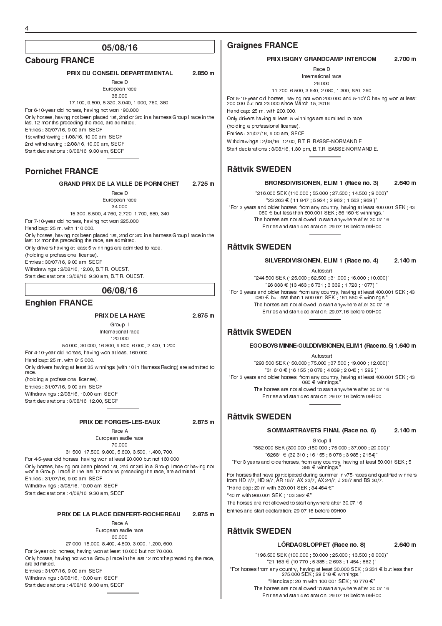### **Cabourg FRANCE**

PRIX DU CONSEIL DEPARTEMENTAL 2.850 m

Race D European race

38.000 17.100, 9.500, 5.320, 3.040, 1.900, 760, 380. For 6-10-year old horses, having not won 190.000. Only horses, having not been placed 1st, 2nd or 3rd in a harness Group I race in the last 12 months preceding the race, are admitted. Entries : 30/07/16, 9.00 am, SECF 1st withdrawing : 1/08/16, 10.00 am, SECF 2nd withdrawing : 2/08/16, 10.00 am, SECF Start declarations : 3/08/16, 9.30 am, SECF

### **Pornichet FRANCE**

GRAND PRIX DE LA VILLE DE PORNICHET 2.725 m

Race D European race 34.000

15.300, 8.500, 4.760, 2.720, 1.700, 680, 340 For 7-10-year old horses, having not won 225.000. Handicap: 25 m. with 110.000. Only horses, having not been placed 1st, 2nd or 3rd in a harness Group I race in the last 12 months preceding the race, are admitted. Only drivers having at least 5 winnings are admitted to race. (holding a professional license). Entries : 30/07/16, 9.00 am, SECF Withdrawings : 2/08/16, 12.00, B.T.R. OUEST.

Start declarations : 3/08/16, 9.30 am, B.T.R. OUEST.

#### **06/08/16**

#### **Enghien FRANCE**

#### PRIX DE LA HAYE 2.875 m

Group II International race

120.000 54.000, 30.000, 16.800, 9.600, 6.000, 2.400, 1.200. For 4-10-year old horses, having won at least 160.000. Handicap: 25 m. with 815.000. Only drivers having at least 35 winnings (with 10 in Harness Racing) are admitted to race. (holding a professional license). Entries : 31/07/16, 9.00 am, SECF

Withdrawings : 2/08/16, 10.00 am, SECF Start declarations : 3/08/16, 12.00, SECF

#### PRIX DE FORGES-LES-EAUX 2.875 m

Race A European sadle race 70.000

31.500, 17.500, 9.800, 5.600, 3.500, 1.400, 700. For 4-5-year old horses, having won at least 20.000 but not 160.000. Only horses, having not been placed 1st, 2nd or 3rd in a Group I race or having not won a Group II race in the last 12 months preceding the race, are admitted. Entries : 31/07/16, 9.00 am, SECF Withdrawings : 3/08/16, 10.00 am, SECF Start declarations : 4/08/16, 9.30 am, SECF

#### PRIX DE LA PLACE DENFERT-ROCHEREAU 2.875 m

Race A European sadle race

60.000 27.000, 15.000, 8.400, 4.800, 3.000, 1.200, 600. For 3-year old horses, having won at least 10.000 but not 70.000. Only horses, having not won a Group I race in the last 12 months preceding the race, are admitted. Entries : 31/07/16, 9.00 am, SECF Withdrawings : 3/08/16, 10.00 am, SECF Start declarations : 4/08/16, 9.30 am, SECF

### **Graignes FRANCE**

#### PRIX ISIGNY GRANDCAMP INTERCOM 2.700 m

Race D International race 26.000

11.700, 6.500, 3.640, 2.080, 1.300, 520, 260

For 5-10-year old horses, having not won 200.000 and 5-10YO having won at least 200.000 but not 23.000 since March 15, 2016.

Handicap: 25 m. with 200.000.

Only drivers having at least 5 winnings are admitted to race. (holding a professional license). Entries : 31/07/16, 9.00 am, SECF Withdrawings : 2/08/16, 12.00, B.T.R. BASSE-NORMANDIE.

Start declarations : 3/08/16, 1.30 pm, B.T.R. BASSE-NORMANDIE.

### **Rättvik SWEDEN**

#### BRONSDIVISIONEN, ELIM 1 (Race no. 3) 2.640 m

216.000 SEK (110.000 ; 55.000 ; 27.500 ; 14.500 ; 9.000)  $23263 \in (11847, 5924, 2962, 1562, 969)^{n}$ "For 3 years and older horses, from any country, having at least 400.001 SEK ; 43<br>080 € but less than 800.001 SEK ; 86 160 € winnings." The horses are not allowed to start anywhere after 30.07.16 Entries and start declaration: 29.07.16 before 09H00

### **Rättvik SWEDEN**

SILVERDIVISIONEN, ELIM 1 (Race no. 4) 2.140 m

Autostart

244.500 SEK (125.000 ; 62.500 ; 31.000 ; 16.000 ; 10.000)  $26333 \in (13463, 6731, 3339, 1723, 1077)$ For 3 years and older horses, from any country, having at least 400.001 SEK ; 43 080 ¤ but less than 1.500.001 SEK ; 161 550 ¤ winnings. The horses are not allowed to start anywhere after 30.07.16 Entries and start declaration: 29.07.16 before 09H00

### **Rättvik SWEDEN**

#### EGO BOYS MINNE-GULDDIVISIONEN, ELIM 1 (Race no. 5) 1.640 m

Autostart 293.500 SEK (150.000 ; 75.000 ; 37.500 ; 19.000 ; 12.000)  $"31\ 610 € (16\ 155 \ ; 8\ 078 \ ; 4\ 039 \ ; 2\ 046 \ ; 1\ 292 \ )"$ For 3 years and older horses, from any country, having at least 400.001 SEK ; 43 080 ¤ winnings. The horses are not allowed to start anywhere after 30.07.16 Entries and start declaration: 29.07.16 before 09H00

### **Rättvik SWEDEN**

#### SOMMARTRAVETS FINAL (Race no. 6) 2.140 m

Group II

582.000 SEK (300.000 ;150.000 ; 75.000 ; 37.000 ; 20.000)  $62681 \n∈ (32 310 ; 16 155 ; 8 078 ; 3 985 ; 2154)$ For 3 years and olderhorses, from any country, having at least 50.001 SEK ; 5

 $385 \in$  winnings.

For horses that have participated during summer in v75-races and qualified winners from HD 7/7, HD 9/7, ÅR 16/7, AX 23/7, AX 24/7, J 26/7 and BS 30/7. "Handicap: 20 m with 320 001 SEK ; 34 464  $\in$ "  $40 \text{ m}$  with 960.001 SEK  $103.392 \in \mathbb{Z}^n$ The horses are not allowed to start anywhere after 30.07.16 Entries and start declaration: 29.07.16 before 09H00

### **Rättvik SWEDEN**

#### LÖRDAGSLOPPET (Race no. 8) 2.640 m

196.500 SEK (100.000 ; 50.000 ; 25.000 ; 13.500 ; 8.000)  $"21 163 € (10 770, 5 385 ; 2 693 ; 1 454, 862)"$ "For horses from any country, having at least 30.000 SEK ; 3 231 € but less than 275.000 SEK ; 29 618 € winnings." "Handicap: 20 m with 100.001 SEK ; 10 770  $\in$ " The horses are not allowed to start anywhere after 30.07.16 Entries and start declaration: 29.07.16 before 09H00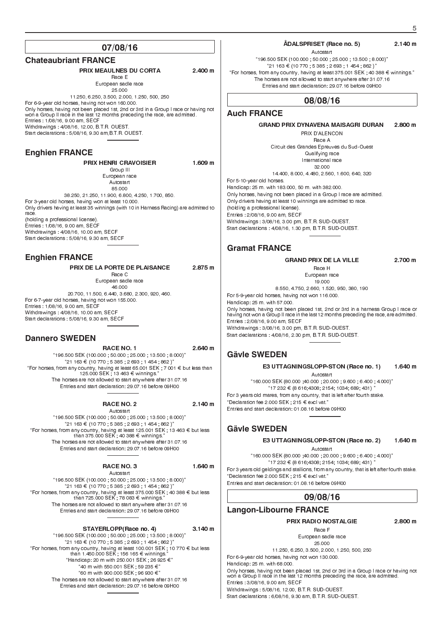#### **Chateaubriant FRANCE**

### PRIX MEAULNES DU CORTA 2.400 m

Race E European sadle race 25.000 11.250, 6.250, 3.500, 2.000, 1.250, 500, 250

For 6-9-year old horses, having not won 160.000. Only horses, having not been placed 1st, 2nd or 3rd in a Group I race or having not won a Group II race in the last 12 months preceding the race, are admitted. Entries : 1/08/16, 9.00 am, SECF Withdrawings : 4/08/16, 12.00, B.T.R. OUEST. Start declarations : 5/08/16, 9.30 am,B.T.R. OUEST.

### **Enghien FRANCE**

PRIX HENRI CRAVOISIER 1.609 m Group III European race Autostart 85.000 38.250, 21.250, 11.900, 6.800, 4.250, 1.700, 850. For 3-year old horses, having won at least 10.000. Only drivers having at least 35 winnings (with 10 in Harness Racing) are admitted to race. (holding a professional license). Entries : 1/08/16, 9.00 am, SECF Withdrawings : 4/08/16, 10.00 am, SECF Start declarations : 5/08/16, 9.30 am, SECF

### **Enghien FRANCE**

PRIX DE LA PORTE DE PLAISANCE 2.875 m

Race C European sadle race 46.000 20.700, 11.500, 6.440, 3.680, 2.300, 920, 460. For 6-7-year old horses, having not won 155.000.

Entries : 1/08/16, 9.00 am, SECF Withdrawings : 4/08/16, 10.00 am, SECF Start declarations : 5/08/16, 9.30 am, SECF

### **Dannero SWEDEN**

RACE NO. 1 2.640 m "196.500 SEK (100.000 ; 50.000 ; 25.000 ; 13.500 ; 8.000)"<br>"21 163 € (10 770 ; 5 385 ; 2 693 ; 1 454 ; 862 )" "For horses, from any country, having at least 65.001 SEK ; 7 001 € but less than 125.000 SEK ; 13 463 € winnings." The horses are not allowed to start anywhere after 31.07.16 Entries and start declaration: 29.07.16 before 09H00

### RACE NO. 2 2.140 m

Autostart 196.500 SEK (100.000 ; 50.000 ; 25.000 ; 13.500 ; 8.000)  $21 163 \in (10 770, 5385, 2693, 1454, 862)^n$ "For horses, from any country, having at least 125.001 SEK ; 13 463 € but less<br>than 375.000 SEK ; 40 388 € winnings." The horses are not allowed to start anywhere after 31.07.16 Entries and start declaration: 29.07.16 before 09H00

#### RACE NO. 3 1.640 m

Autostart

196.500 SEK (100.000 ; 50.000 ; 25.000 ; 13.500 ; 8.000)  $"21\;163 \in (10\;770\;,\;5\;385\;,\;2\;693\;,\;1\;454\;,\;862\;)\,"$ "For horses, from any country, having at least 375.000 SEK ; 40 388 € but less<br>than 725.000 SEK ; 78 083 € winnings." The horses are not allowed to start anywhere after 31.07.16 Entries and start declaration: 29.07.16 before 09H00

STAYERLOPP(Race no. 4) 3.140 m

196.500 SEK (100.000 ; 50.000 ; 25.000 ; 13.500 ; 8.000)  $"21\;163 \in (10\;770\;,\;5\;385\;,\;2\;693\;,\;1\;454\;,\;862\;)"$ "For horses, from any country, having at least 100.001 SEK ; 10 770 € but less<br>than 1.450.000 SEK ; 156 165 € winnings." "Handicap: 20 m with 250.001 SEK ; 26 925  $\in$ " "40 m with 550 001 SEK ; 59 235  $\in$ " "60 m with 900.000 SEK ; 96 930 €" The horses are not allowed to start anywhere after 31.07.16 Entries and start declaration: 29.07.16 before 09H00

#### ÅDALSPRISET (Race no. 5) 2.140 m

Autostart

196.500 SEK (100.000 ; 50.000 ; 25.000 ; 13.500 ; 8.000)  $21163 €10770 ; 5385 ; 2693 ; 1454 ; 862)$ "For horses, from any country, having at least 375.001 SEK ; 40 388  $\bm{\epsilon}$  winnings." The horses are not allowed to start anywhere after 31.07.16 Entries and start declaration: 29.07.16 before 09H00

### **08/08/16**

### **Auch FRANCE**

#### GRAND PRIX DYNAVENA MAISAGRI DURAN 2.800 m

PRIX D'ALENCON Race A

Circuit des Grandes Epreuves du Sud-Ouest Qualifying race International race 32.000

14.400, 8.000, 4.480, 2.560, 1.600, 640, 320

For 5-10-year old horses. Handicap: 25 m. with 183.000, 50 m. with 382.000. Only horses, having not been placed in a Group I race are admitted. Only drivers having at least 10 winnings are admitted to race. (holding a professional license). Entries : 2/08/16, 9.00 am, SECF Withdrawings : 3/08/16, 3.00 pm, B.T.R. SUD-OUEST. Start declarations : 4/08/16, 1.30 pm, B.T.R. SUD-OUEST.

### **Gramat FRANCE**

### GRAND PRIX DE LA VILLE 2.700 m

Race H European race

19.000

8.550, 4.750, 2.660, 1.520, 950, 380, 190

For 5-9-year old horses, having not won 116.000. Handicap: 25 m. with 57.000.

Only horses, having not been placed 1st, 2nd or 3rd in a harness Group I race or having not won a Group II race in the last 12 months preceding the race, are admitted. Entries : 2/08/16, 9.00 am, SECF Withdrawings : 3/08/16, 3.00 pm, B.T.R. SUD-OUEST.

Start declarations : 4/08/16, 2.30 pm, B.T.R. SUD-OUEST.

### **Gävle SWEDEN**

E3 UTTAGNINGSLOPP-STON (Race no. 1) 1.640 m

Autostart 160.000 SEK (80.000 ;40.000 ; 20.000 ; 9.600 ; 6.400 ; 4.000)  $17232 \in (8616, 4308, 2154, 1034, 689, 431)$ For 3 years old mares, from any country, that is left after fourth stake. "Declaration fee 2.000 SEK ; 215  $\in$  excl vat." Entries and start declaration: 01.08.16 before 09H00

### **Gävle SWEDEN**

#### E3 UTTAGNINGSLOPP-STON (Race no. 2) 1.640 m

Autostart

160.000 SEK (80.000 ;40.000 ; 20.000 ; 9.600 ; 6.400 ; 4.000)  $17232 \in (8616, 4308, 2154, 1034, 689, 431)$ For 3 years old geldings and stallions, from any country, that is left after fourth stake. "Declaration fee 2.000 SEK ; 215  $\in$  excl vat."

Entries and start declaration: 01.08.16 before 09H00

### **09/08/16**

### **Langon-Libourne FRANCE**

PRIX RADIO NOSTALGIE 2.800 m

Race F European sadle race 25.000

11.250, 6.250, 3.500, 2.000, 1.250, 500, 250

For 6-9-year old horses, having not won 130.000. Handicap: 25 m. with 68.000.

Only horses, having not been placed 1st, 2nd or 3rd in a Group I race or having not won a Group II race in the last 12 months preceding the race, are admitted. Entries : 3/08/16, 9.00 am, SECF

Withdrawings : 5/08/16, 12.00, B.T.R. SUD-OUEST. Start declarations : 6/08/16, 9.30 am, B.T.R. SUD-OUEST.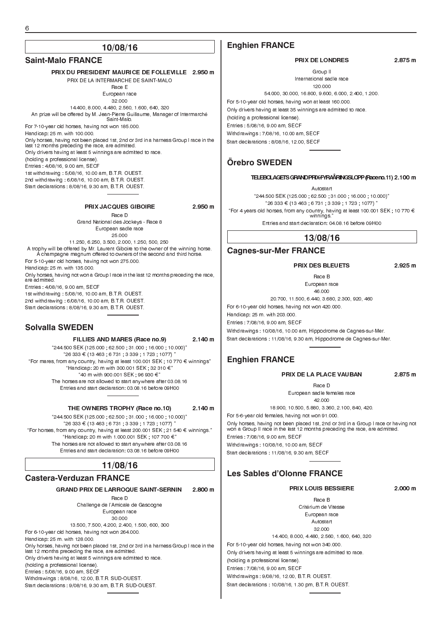### **Saint-Malo FRANCE**

PRIX DU PRESIDENT MAURICE DE FOLLEVILLE 2.950 m PRIX DE LA INTERMARCHE DE SAINT-MAI O Race E European race 32.000 14.400, 8.000, 4.480, 2.560, 1.600, 640, 320 An prize will be offered by M. Jean-Pierre Guillaume, Manager of Intermarché Saint-Malo. For 7-10-year old horses, having not won 185.000. Handicap: 25 m. with 100.000. Only horses, having not been placed 1st, 2nd or 3rd in a harness Group I race in the last 12 months preceding the race, are admitted. Only drivers having at least 5 winnings are admitted to race. (holding a professional license). Entries : 4/08/16, 9.00 am, SECF 1st withdrawing : 5/08/16, 10.00 am, B.T.R. OUEST. 2nd withdrawing : 6/08/16, 10.00 am, B.T.R. OUEST. Start declarations : 8/08/16, 9.30 am, B.T.R. OUEST. PRIX JACQUES GIBOIRE 2.950 m Race D Grand National des Jockeys - Race 8

European sadle race 25.000 11.250, 6.250, 3.500, 2.000, 1.250, 500, 250

A trophy will be offered by Mr. Laurent Giboire to the owner of the winning horse. A champagne magnum offered to owners of the second and third horse. For 5-10-year old horses, having not won 275.000. Handicap: 25 m. with 135.000. Only horses, having not won a Group I race in the last 12 months preceding the race, are admitted. Entries : 4/08/16, 9.00 am, SECF 1st withdrawing : 5/08/16, 10.00 am, B.T.R. OUEST.

2nd withdrawing : 6/08/16, 10.00 am, B.T.R. OUEST. Start declarations : 8/08/16, 9.30 am, B.T.R. OUEST.

### **Solvalla SWEDEN**

#### FILLIES AND MARES (Race no.9) 2.140 m

244.500 SEK (125.000 ; 62.500 ; 31.000 ; 16.000 ; 10.000)  $26333 \in (13463 \div 6731 \div 3339 \div 1723 \div 1077)$ "For mares, from any country, having at least 100.001 SEK ; 10 770 € winnings"  $H$ andicap: 20 m with 300.001 SEK ; 32 310  $\in$ " "40 m with 900.001 SEK ; 96 930 €" The horses are not allowed to start anywhere after 03.08.16 Entries and start declaration: 03.08.16 before 09H00

#### THE OWNERS TROPHY (Race no.10) 2.140 m

244.500 SEK (125.000 ; 62.500 ; 31.000 ; 16.000 ; 10.000)  $126333 € (13463 ; 6731 ; 3339 ; 1723 ; 1077)$ "For horses, from any country, having at least 200.001 SEK ; 21 540  $\in$  winnings." "Handicap: 20 m with 1.000.001 SEK ; 107 700  $\in$ " The horses are not allowed to start anywhere after 03.08.16 Entries and start declaration: 03.08.16 before 09H00

# **11/08/16**

### **Castera-Verduzan FRANCE**

#### GRAND PRIX DE LARROQUE SAINT-SERNIN 2.800 m

Race D Challenge de l'Amicale de Gascogne European race 30.000

13.500, 7.500, 4.200, 2.400, 1.500, 600, 300 For 6-10-year old horses, having not won 264.000. Handicap: 25 m. with 128.000. Only horses, having not been placed 1st, 2nd or 3rd in a harness Group I race in the last 12 months preceding the race, are admitted. Only drivers having at least 5 winnings are admitted to race. (holding a professional license). Entries : 5/08/16, 9.00 am, SECF Withdrawings : 8/08/16, 12.00, B.T.R. SUD-OUEST. Start declarations : 9/08/16, 9.30 am, B.T.R. SUD-OUEST.

### **Enghien FRANCE**

#### PRIX DE LONDRES 2.875 m

Group II International sadle race 120.000 54.000, 30.000, 16.800, 9.600, 6.000, 2.400, 1.200.

For 5-10-year old horses, having won at least 160.000. Only drivers having at least 35 winnings are admitted to race. (holding a professional license). Entries : 5/08/16, 9.00 am, SECF Withdrawings : 7/08/16, 10.00 am, SECF Start declarations : 8/08/16, 12.00, SECF

### **Örebro SWEDEN**

#### TELEBOLAGETSGRANDPRIX-FYRAÅRINGSLOPP(Raceno.11) 2.100 m

Autostart 244.500 SEK (125.000 ; 62.500 ; 31.000 ; 16.000 ; 10.000)  $26333 € (13463 ; 6731 ; 3339 ; 1723 ; 1077)$ "For 4 years old horses, from any country, having at least 100.001 SEK; 10 770  $\bm{\epsilon}$ winnings.

Entries and start declaration: 04.08.16 before 09H00

#### **13/08/16**

#### **Cagnes-sur-Mer FRANCE**

#### PRIX DES BLEUETS 2.925 m

Race B

European race 46.000

20.700, 11.500, 6.440, 3.680, 2.300, 920, 460 For 6-10-year old horses, having not won 420.000. Handicap: 25 m. with 203.000. Entries : 7/08/16, 9.00 am, SECF

Withdrawings : 10/08/16, 10.00 am, Hippodrome de Cagnes-sur-Mer. Start declarations : 11/08/16, 9.30 am, Hippodrome de Cagnes-sur-Mer.

### **Enghien FRANCE**

#### PRIX DE LA PLACE VAUBAN 2.875 m

Race D

European sadle females race 42.000

18.900, 10.500, 5.880, 3.360, 2.100, 840, 420.

For 5-6-year old females, having not won 91.000.

Only horses, having not been placed 1st, 2nd or 3rd in a Group I race or having not won a Group II race in the last 12 months preceding the race, are admitted. Entries : 7/08/16, 9.00 am, SECF Withdrawings : 10/08/16, 10.00 am, SECF

Start declarations : 11/08/16, 9.30 am, SECF

# **Les Sables d'Olonne FRANCE**

# PRIX LOUIS BESSIERE 2.000 m

Race B Critérium de Vitesse European race Autostart 32.000 14.400, 8.000, 4.480, 2.560, 1.600, 640, 320 For 5-10-year old horses, having not won 340.000. Only drivers having at least 5 winnings are admitted to race.

(holding a professional license). Entries : 7/08/16, 9.00 am, SECF

Withdrawings 9/08/16 12.00 B.T.R. OUEST.

Start declarations : 10/08/16, 1.30 pm, B.T.R. OUEST.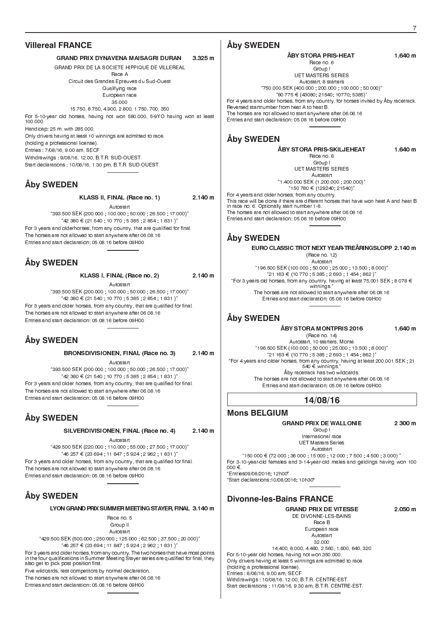### **Villereal FRANCE**

#### GRAND PRIX DYNAVENA MAISAGRI DURAN 3.325 m

GRAND PRIX DE LA SOCIETE HIPPIQUE DE VILLEREAL

Race A Circuit des Grandes Epreuves du Sud-Ouest Qualifying race European race

35.000 15.750, 8.750, 4.900, 2.800, 1.750, 700, 350 For 5-10-year old horses, having not won 580.000, 5-9YO having won at least 100.000. Handicap: 25 m. with 285.000.

Only drivers having at least 10 winnings are admitted to race.

(holding a professional license).

Entries : 7/08/16, 9.00 am, SECF

Withdrawings : 9/08/16, 12.00, B.T.R. SUD-OUEST. Start declarations : 10/08/16, 1.30 pm, B.T.R. SUD-OUEST.

# **Åby SWEDEN**

KLASS II, FINAL (Race no. 1) 2.140 m

Autostart 393.500 SEK (200.000 ; 100.000 ; 50.000 ; 26.500 ; 17.000) 42 380 ¤ (21 540 ; 10 770 ; 5 385 ; 2 854 ; 1 831 ) For 3 years and olderhorses, from any country, that are qualified for final. The horses are not allowed to start anywhere after 06.08.16 Entries and start declaration: 05.08.16 before 09H00

# **Åby SWEDEN**

KLASS I, FINAL (Race no. 2) 2.140 m

Autostart 393.500 SEK (200.000 ; 100.000 ; 50.000 ; 26.500 ; 17.000)  $42$  380 € (21 540 ; 10 770 ; 5 385 ; 2 854 ; 1 831 )"

For 3 years and older horses, from any country, that are qualified for final. The horses are not allowed to start anywhere after 06.08.16 Entries and start declaration: 05.08.16 before 09H00

# **Åby SWEDEN**

BRONSDIVISIONEN, FINAL (Race no. 3) 2.140 m

Autostart 393.500 SEK (200.000 ; 100.000 ; 50.000 ; 26.500 ; 17.000)  $42$  380 € (21 540 ; 10 770 ; 5 385 ; 2 854 ; 1 831 )" For 3 years and older horses, from any country, that are qualified for final.

The horses are not allowed to start anywhere after 06.08.16 Entries and start declaration: 05.08.16 before 09H00

# **Åby SWEDEN**

SILVERDIVISIONEN, FINAL (Race no. 4) 2.140 m

Autostart

429.500 SEK (220.000 ; 110.000 ; 55.000 ; 27.500 ; 17.000)  $46$  257 € (23 694 ; 11 847 ; 5 924 ; 2 962 ; 1 831 )" For 3 years and older horses, from any country, that are qualified for final. The horses are not allowed to start anywhere after 06.08.16 Entries and start declaration: 05.08.16 before 09H00

# **Åby SWEDEN**

LYON GRAND PRIX SUMMER MEETING STAYER, FINAL 3.140 m

Race no. 5 Group II Autostart

429.500 SEK (500.000 ; 250.000 ; 125.000 ; 62.500 ; 37.500 ; 20.000)  $"46\ 257 \in (23\ 694 \ ; \ 11\ 847 \ ; \ 5\ 924 \ ; \ 2\ 962 \ ; \ 1\ 831 \, )"$ 

For 3 years and older horses, from any country. The two horses that have most points in the four qualifications in Summer Meeting Stayer series are qualified for final, they also get to pick post position first.

Five wildcards, rest competitors by normal declaration.

The horses are not allowed to start anywhere after 06.08.16 Entries and start declaration: 05.08.16 before 09H00

### **Åby SWEDEN**

ÅBY STORA PRIS-HEAT 1.640 m Race no. 6 Group I UET MASTERS SERIES Autostart, 8 starters "750.000 SEK (400.000 ; 200.000 ; 100.000 ; 50.000)"<br>"80 775 € (43080; 21540; 10770; 5385)" For 4 years and older horses, from any country, for horses invited by Åby racetrack. Reversed startnumber from heat A to heat B. The horses are not allowed to start anywhere after 06.08.16 Entries and start declaration: 05.08.16 before 09H00

# **Åby SWEDEN**

ÅBY STORA PRIS-SKILJEHEAT 1.640 m

Race no. 8 Group I UET MASTERS SERIES

Autostart 1.400.000 SEK (1.200.000 ; 200.000) 150 780 ¤ (129240; 21540) For 4 years and older horses, from any country. This race will be done if there are different horses that have won heat A and heat B in race no. 6. Optionally start number 1-8. The horses are not allowed to start anywhere after 06.08.16 Entries and start declaration: 05.08.16 before 09H00

# **Åby SWEDEN**

EURO CLASSIC TROT NEXT YEAR-TREÅRINGSLOPP 2.140 m

(Race no. 12) Autostart "196.500 SEK (100.000 ; 50.000 ; 25.000 ; 13.500 ; 8.000)"<br>"21 163 € (10 770 ; 5 385 ; 2 693 ; 1 454 ; 862 )" "For 3 years old horses, from any country, having at least 75.001 SEK ; 8 078 €<br>winnings." The horses are not allowed to start anywhere after 06.08.16 Entries and start declaration: 05.08.16 before 09H00

### **Åby SWEDEN**

#### ÅBY STORA MONTPRIS 2016 1.640 m

(Race no. 14) Autostart, 10 starters, Monté 196.500 SEK (100.000 ; 50.000 ; 25.000 ; 13.500 ; 8.000)  $921163 \in (10770, 5385, 2693, 1454, 862)^{n}$ For 4 years and older horses, from any country, having at least 200.001 SEK ; 21 540 € winnings Åby racetrack has two wildcards. The horses are not allowed to start anywhere after 06.08.16

Entries and start declaration: 05.08.16 before 09H00

**14/08/16**

# **Mons BELGIUM**

### GRAND PRIX DE WALLONIE 2 300 m

Group I International race

UET Masters Series Autostart

 $150000 \in (72000, 36000, 15000, 12000, 7500, 4500, 3000)$ For 3-10-year-old females and 3-14-year-old males and geldings having won 100  $000 \in$ Entries09/08/2016; 12h00"

Start declarations:10/08/2016; 10h30"

### **Divonne-les-Bains FRANCE**

GRAND PRIX DE VITESSE 2.050 m DE DIVONNE-LES-BAINS Race B European race

Autostart 32.000 14.400, 8.000, 4.480, 2.560, 1.600, 640, 320

For 5-10-year old horses, having not won 350.000. Only drivers having at least 5 winnings are admitted to race. (holding a professional license). Entries : 8/08/16, 9.00 am, SECF Withdrawings : 10/08/16, 12.00, B.T.R. CENTRE-EST. Start declarations : 11/08/16, 9.30 am, B.T.R. CENTRE-EST.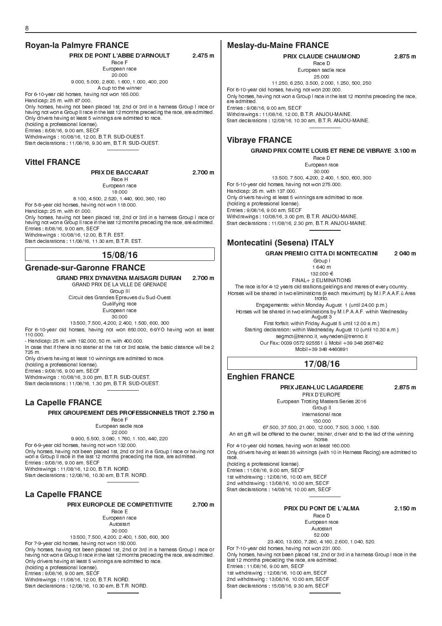# **Royan-la Palmyre FRANCE**

PRIX DE PONT L'ABBE D'ARNOULT 2.475 m Race F

European race 20.000 9.000, 5.000, 2.800, 1.600, 1.000, 400, 200

A cup to the winner For 6-10-year old horses, having not won 165.000.

Handicap: 25 m. with 87.000.

Only horses, having not been placed 1st, 2nd or 3rd in a harness Group I race or having not won a Group II race in the last 12 months preceding the race, are admitted. Only drivers having at least 5 winnings are admitted to race. (holding a professional license). Entries : 8/08/16, 9.00 am, SECF Withdrawings : 10/08/16, 12.00, B.T.R. SUD-OUEST.

Start declarations : 11/08/16, 9.30 am, B.T.R. SUD-OUEST.

### **Vittel FRANCE**

| <b>PRIX DE BACCARAT</b>                                                                                                                                                    | 2.700 m |
|----------------------------------------------------------------------------------------------------------------------------------------------------------------------------|---------|
| Race H                                                                                                                                                                     |         |
| European race                                                                                                                                                              |         |
| 18.000                                                                                                                                                                     |         |
| 8.100 4.500 2.520 1.440 900 360 180                                                                                                                                        |         |
| For 5 8 year old horses, having not won 118,000.                                                                                                                           |         |
| Handicap: 25 m. with 61,000.                                                                                                                                               |         |
| Only horses, having not been placed 1st, 2nd or 3rd in a harness Group I race or<br>having not won a Group II race in the last 12 months preceding the race, are admitted. |         |
| Entries 8/08/16 9.00 am SECF                                                                                                                                               |         |
|                                                                                                                                                                            |         |

Withdrawings : 10/08/16, 12.00, B.T.R. EST. Start declarations : 11/08/16, 11.30 am, B.T.R. EST.

### **15/08/16**

### **Grenade-sur-Garonne FRANCE**

GRAND PRIX DYNAVENA MAISAGRI DURAN 2.700 m GRAND PRIX DE LA VILLE DE GRENADE Group III

Circuit des Grandes Epreuves du Sud-Ouest Qualifying race European race 30.000

13.500, 7.500, 4.200, 2.400, 1.500, 600, 300 For 6-10-year old horses, having not won 850.000, 6-9YO having won at least 110.000.

- Handicap: 25 m. with 192.000, 50 m. with 400.000.

In case that if there is no starter at the 1st or 3rd scale, the basic distance will be 2 725 m.

Only drivers having at least 10 winnings are admitted to race.

(holding a professional license).

Entries : 9/08/16, 9.00 am, SECF

Withdrawings : 10/08/16, 3.00 pm, B.T.R. SUD-OUEST.

Start declarations : 11/08/16, 1.30 pm, B.T.R. SUD-OUEST.

# **La Capelle FRANCE**

PRIX GROUPEMENT DES PROFESSIONNELS TROT 2.750 m

Race F European sadle race

22.000

9.900, 5.500, 3.080, 1.760, 1.100, 440, 220

For 6-9-year old horses, having not won 132.000. Only horses, having not been placed 1st, 2nd or 3rd in a Group I race or having not won a Group II race in the last 12 months preceding the race, are admitted. Entries : 9/08/16, 9.00 am, SECF Withdrawings : 11/08/16, 12.00, B.T.R. NORD. Start declarations : 12/08/16, 10.30 am, B.T.R. NORD.

### **La Capelle FRANCE**

PRIX EUROPOLE DE COMPETITIVITE 2.700 m

Race E European race Autostart 30.000

13.500, 7.500, 4.200, 2.400, 1.500, 600, 300 For 7-9-year old horses, having not won 150.000. Only horses, having not been placed 1st, 2nd or 3rd in a harness Group I race or having not won a Group II race in the last 12 months preceding the race, are admitted. Only drivers having at least 5 winnings are admitted to race. (holding a professional license). Entries : 9/08/16, 9.00 am, SECF Withdrawings : 11/08/16, 12.00, B.T.R. NORD. Start declarations : 12/08/16, 10.30 am, B.T.R. NORD.

### **Meslay-du-Maine FRANCE**

### PRIX CLAUDE CHAUMOND 2.875 m

Race D European sadle race

25.000

11.250, 6.250, 3.500, 2.000, 1.250, 500, 250

For 6-10-year old horses, having not won 200.000. Only horses, having not won a Group I race in the last 12 months preceding the race, are admitted. Entries : 9/08/16, 9.00 am, SECF

Withdrawings : 11/08/16, 12.00, B.T.R. ANJOU-MAINE. Start declarations : 12/08/16, 10.30 am, B.T.R. ANJOU-MAINE.

### **Vibraye FRANCE**

GRAND PRIX COMTE LOUIS ET RENE DE VIBRAYE 3.100 m Race D European race 30.000 13.500, 7.500, 4.200, 2.400, 1.500, 600, 300 For 5-10-year old horses, having not won 275.000. Handicap: 25 m. with 137.000. Only drivers having at least 5 winnings are admitted to race. (holding a professional license). Entries : 9/08/16, 9.00 am, SECF Withdrawings : 10/08/16, 3.00 pm, B.T.R. ANJOU-MAINE. Start declarations : 11/08/16, 2.30 pm, B.T.R. ANJOU-MAINE.

# **Montecatini (Sesena) ITALY**

GRAN PREMIO CITTA DI MONTECATINI 2 040 m

Group I 1 640 m

132.000 €

FINAL+ 2 ELIMINATIONS The race is for 4-12 years old stallions,geldings and mares of every country.

Horses will be shared in two eliminations (9 each maximum) by M.I.P.A.A.F.û Area trotto.

Engagements: within Monday August 1 (until 24.00 p.m.) Horses will be shared in two eliminations by M.I.P.A.A.F. within Wednesday August 3

First forfait: within Friday August 5 until 12.00 a.m.) Starting declaration: within Wednesday August 10 (until 10.30 a.m.) segmct@trenno.it, wayneden@trenno.it Our Fax: 0039 0572 925551 û Mobil +39 348 2687492 Mobil+39 348 4460891

# **17/08/16**

### **Enghien FRANCE**

#### PRIX JEAN-LUC LAGARDERE 2.875 m

PRIX D'EUROPE European Trotting Masters Series 2016

Group II International race 150.000

67.500, 37.500, 21.000, 12.000, 7.500, 3.000, 1.500. An art gift will be offered to the owner, trainer, driver and to the lad of the winning horse.

For 4-10-year old horses, having won at least 160.000. Only drivers having at least 35 winnings (with 10 in Harness Racing) are admitted to race. (holding a professional license). Entries : 11/08/16, 9.00 am, SECF

1st withdrawing : 12/08/16, 10.00 am, SECF 2nd withdrawing : 13/08/16, 10.00 am, SECF Start declarations : 14/08/16, 10.00 am, SECF

### PRIX DU PONT DE L'ALMA 2.150 m

Race D European race Autostart

52.000

23.400, 13.000, 7.280, 4.160, 2.600, 1.040, 520. For 7-10-year old horses, having not won 231.000. Only horses, having not been placed 1st, 2nd or 3rd in a harness Group I race in the last 12 months preceding the race, are admitted. Entries : 11/08/16, 9.00 am, SECF 1st withdrawing : 12/08/16, 10.00 am, SECF 2nd withdrawing : 13/08/16, 10.00 am, SECF Start declarations : 15/08/16, 9.30 am, SECF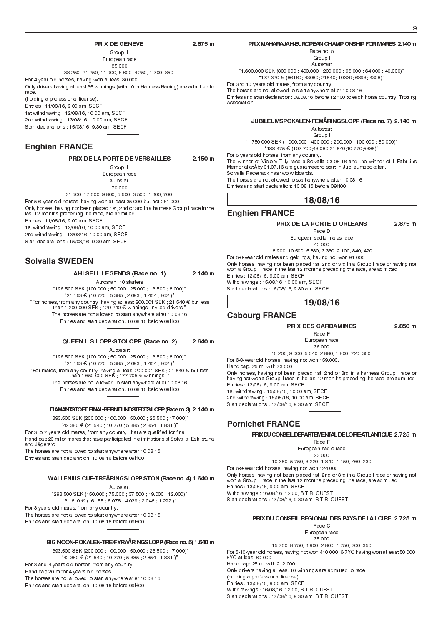#### PRIX DE GENEVE 2.875 m

Group III European race 85.000 38.250, 21.250, 11.900, 6.800, 4.250, 1.700, 850. For 4-year old horses, having won at least 30.000. Only drivers having at least 35 winnings (with 10 in Harness Racing) are admitted to race. (holding a professional license). Entries : 11/08/16, 9.00 am, SECF 1st withdrawing : 12/08/16, 10.00 am, SECF 2nd withdrawing : 13/08/16, 10.00 am, SECF Start declarations : 15/08/16, 9.30 am, SECF

### **Enghien FRANCE**

PRIX DE LA PORTE DE VERSAILLES 2.150 m

Group III European race Autostart 70.000

31.500, 17.500, 9.800, 5.600, 3.500, 1.400, 700. For 5-6-year old horses, having won at least 35.000 but not 261.000. Only horses, having not been placed 1st, 2nd or 3rd in a harness Group I race in the last 12 months preceding the race, are admitted.

Entries : 11/08/16, 9.00 am, SECF

1st withdrawing : 12/08/16, 10.00 am, SECF 2nd withdrawing : 13/08/16, 10.00 am, SECF

Start declarations : 15/08/16, 9.30 am, SECF

### **Solvalla SWEDEN**

#### AHLSELL LEGENDS (Race no. 1) 2.140 m

Autostart, 10 starters 196.500 SEK (100.000 ; 50.000 ; 25.000 ; 13.500 ; 8.000)  $"21 163 \in (10 770, 5 385, 2 693, 1 454, 862)"$ "For horses, from any country, having at least 200.001 SEK ; 21 540 € but less than 1.200.000 SEK ; 129 240 € winnings. Invited drivers." The horses are not allowed to start anywhere after 10.08.16 Entries and start declaration: 10.08.16 before 09H00

#### QUEEN L:S LOPP-STOLOPP (Race no. 2) 2.640 m

Autostart 196.500 SEK (100.000 ; 50.000 ; 25.000 ; 13.500 ; 8.000)  $21 163 € (10 770 ; 5 385 ; 2 693 ; 1 454 ; 862)$ "For mares, from any country, having at least 200.001 SEK ; 21 540 € but less than 1.650.000 SEK ; 177 705  $\epsilon$  winnings. The horses are not allowed to start anywhere after 10.08.16 Entries and start declaration: 10.08.16 before 09H00

#### DIAMANTSTOET,FINAL-BERNTLINDSTEDTSLOPP(Raceno.3) 2.140 m

393.500 SEK (200.000 ; 100.000 ; 50.000 ; 26.500 ; 17.000)  $"42 380 \in (21 540 ; 10 770 ; 5 385 ; 2 854 ; 1 831)"$ For 3 to 7 years old mares, from any country, that are qualified for final. Handicap 20 m for mares that have participated in eliminations at Solvalla, Eskilstuna and Jägersro. The horses are not allowed to start anywhere after 10.08.16

Entries and start declaration: 10.08.16 before 09H00

#### WALLENIUS CUP-TREÅRINGSLOPP STON (Race no. 4) 1.640 m

Autostart

293.500 SEK (150.000 ; 75.000 ; 37.500 ; 19.000 ; 12.000)  $^{\rm o}$ 31 610 € (16 155 ; 8 078 ; 4 039 ; 2 046 ; 1 292 )"

For 3 years old mares, from any country. The horses are not allowed to start anywhere after 10.08.16 Entries and start declaration: 10.08.16 before 09H00

#### BIG NOON-POKALEN-TRE/FYRAÅRINGSLOPP (Race no. 5) 1.640 m

393.500 SEK (200.000 ; 100.000 ; 50.000 ; 26.500 ; 17.000)  $42$  380 € (21 540 ; 10 770 ; 5 385 ; 2 854 ; 1 831 )" For 3 and 4 years old horses, from any country. Handicap 20 m for 4 years old horses.

The horses are not allowed to start anywhere after 10.08.16 Entries and start declaration: 10.08.16 before 09H00

### PRIX MAHARAJAH-EUROPEAN CHAMPIONSHIP FOR MARES 2.140 m

Race no. 6 Group I

Autostart

1.600.000 SEK (800.000 ; 400.000 ; 200.000 ; 96.000 ; 64.000 ; 40.000)  $172$  320 € (86160; 43080; 21540; 10339; 6893; 4308)'

For 3 to 10 years old mares, from any country. The horses are not allowed to start anywhere after 10.08.16

Entries and start declaration: 08.08.16 before 12H00 to each horse country, Trotting Association.

### JUBILEUMSPOKALEN-FEMÅRINGSLOPP (Race no. 7) 2.140 m

Autostart Group I

1.750.000 SEK (1.000.000 ; 400.000 ; 200.000 ; 100.000 ; 50.000) 188 475 ¤ (107 700;43 080;21 540;10 770;5385) For 5 years old horses, from any country. The winner of Victory Tilly race atSolvalla 03.08.16 and the winner of L.Fabritius Memorial atÅby 31.07.16 are guaranteedto start in Jubileumspokalen. Solvalla Racetrack has two wildcards. The horses are not allowed to start anywhere after 10.08.16

Entries and start declaration: 10.08.16 before 09H00

### **18/08/16**

#### **Enghien FRANCE**

#### PRIX DE LA PORTE D'ORLEANS 2.875 m

Race D European sadle males race

42.000 18.900, 10.500, 5.880, 3.360, 2.100, 840, 420. For 5-6-year old males and geldings, having not won 91.000. Only horses, having not been placed 1st, 2nd or 3rd in a Group I race or having not won a Group II race in the last 12 months preceding the race, are admitted. Entries : 12/08/16, 9.00 am, SECF Withdrawings : 15/08/16, 10.00 am, SECF Start declarations : 16/08/16, 9.30 am, SECF

### **19/08/16**

### **Cabourg FRANCE**

#### PRIX DES CARDAMINES 2.850 m

Race F European race 36.000

16.200, 9.000, 5.040, 2.880, 1.800, 720, 360.

For 6-8-year old horses, having not won 159.000. Handicap: 25 m. with 73.000. Only horses, having not been placed 1st, 2nd or 3rd in a harness Group I race or having not won a Group II race in the last 12 months preceding the race, are admitted. Entries : 13/08/16, 9.00 am, SECF 1st withdrawing : 15/08/16, 10.00 am, SECF 2nd withdrawing : 16/08/16, 10.00 am, SECF Start declarations : 17/08/16, 9.30 am, SECF

### **Pornichet FRANCE**

PRIXDUCONSEILDEPARTEMENTALDELOIRE-ATLANTIQUE 2.725 m

Race F European sadle race

23.000 10.350, 5.750, 3.220, 1.840, 1.150, 460, 230 For 6-9-year old horses, having not won 124.000. Only horses, having not been placed 1st, 2nd or 3rd in a Group I race or having not won a Group II race in the last 12 months preceding the race, are admitted. Entries : 13/08/16, 9.00 am, SECF Withdrawings : 16/08/16, 12.00, B.T.R. OUEST. Start declarations : 17/08/16, 9.30 am, B.T.R. OUEST.

#### PRIX DU CONSEIL REGIONAL DES PAYS DE LA LOIRE 2.725 m

Race C European race 35.000

15.750, 8.750, 4.900, 2.800, 1.750, 700, 350 For 6-10-year old horses, having not won 410.000, 6-7YO having won at least 50.000, 8YO at least 80.000. Handicap: 25 m. with 212.000. Only drivers having at least 10 winnings are admitted to race. (holding a professional license). Entries : 13/08/16, 9.00 am, SECF Withdrawings : 16/08/16, 12.00, B.T.R. OUEST. Start declarations : 17/08/16, 9.30 am, B.T.R. OUEST.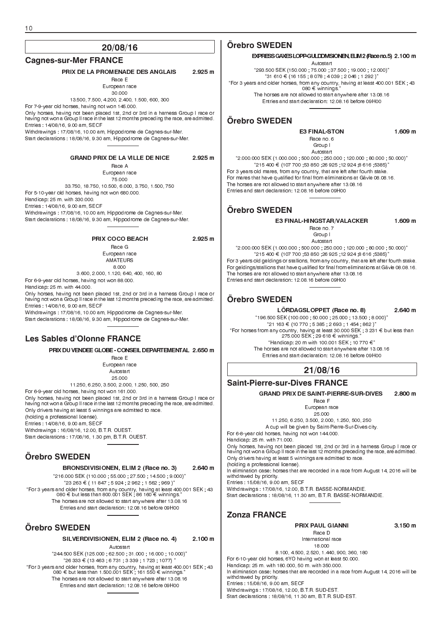#### **Cagnes-sur-Mer FRANCE**

PRIX DE LA PROMENADE DES ANGLAIS 2.925 m Race E European race 30.000 13.500, 7.500, 4.200, 2.400, 1.500, 600, 300 For 7-9-year old horses, having not won 145.000. Only horses, having not been placed 1st, 2nd or 3rd in a harness Group I race or having not won a Group II race in the last 12 months preceding the race, are admitted. Entries : 14/08/16, 9.00 am, SECF Withdrawings : 17/08/16, 10.00 am, Hippodrome de Cagnes-sur-Mer. Start declarations : 18/08/16, 9.30 am, Hippodrome de Cagnes-sur-Mer. GRAND PRIX DE LA VILLE DE NICE 2.925 m Race A European race

75.000 33.750, 18.750, 10.500, 6.000, 3.750, 1.500, 750 For 5-10-year old horses, having not won 680.000. Handicap: 25 m. with 330.000. Entries : 14/08/16, 9.00 am, SECF Withdrawings : 17/08/16, 10.00 am, Hippodrome de Cagnes-sur-Mer. Start declarations : 18/08/16, 9.30 am, Hippodrome de Cagnes-sur-Mer.

#### PRIX COCO BEACH 2.925 m

Race G European race AMATEURS 8.000

3.600, 2.000, 1.120, 640, 400, 160, 80 For 6-9-year old horses, having not won 88.000.

Handicap: 25 m. with 44.000.

Only horses, having not been placed 1st, 2nd or 3rd in a harness Group I race or having not won a Group II race in the last 12 months preceding the race, are admitted. Entries : 14/08/16, 9.00 am, SECF Withdrawings : 17/08/16, 10.00 am, Hippodrome de Cagnes-sur-Mer.

Start declarations : 18/08/16, 9.30 am, Hippodrome de Cagnes-sur-Mer.

### **Les Sables d'Olonne FRANCE**

PRIX DU VENDEE GLOBE - CONSEIL DEPARTEMENTAL 2.650 m

Race E European race Autostart 25.000 11.250, 6.250, 3.500, 2.000, 1.250, 500, 250 For 6-9-year old horses, having not won 161.000. Only horses, having not been placed 1st, 2nd or 3rd in a harness Group I race or having not won a Group II race in the last 12 months preceding the race, are admitted. Only drivers having at least 5 winnings are admitted to race. (holding a professional license). Entries : 14/08/16, 9.00 am, SECF Withdrawings : 16/08/16, 12.00, B.T.R. OUEST. Start declarations : 17/08/16, 1.30 pm, B.T.R. OUEST.

# **Örebro SWEDEN**

BRONSDIVISIONEN, ELIM 2 (Race no. 3) 2.640 m 216.000 SEK (110.000 ; 55.000 ; 27.500 ; 14.500 ; 9.000)  $"23\,263 \in (11\,847\,;\,5\,924\,;\,2\,962\,;\,1\,562\,;\,969\,)"$ "For 3 years and older horses, from any country, having at least 400.001 SEK ; 43<br>080 € but less than 800.001 SEK ; 86 160 € winnings." The horses are not allowed to start anywhere after 13.08.16

Entries and start declaration: 12.08.16 before 09H00

### **Örebro SWEDEN**

SILVERDIVISIONEN, ELIM 2 (Race no. 4) 2.100 m Autostart

244.500 SEK (125.000 ; 62.500 ; 31.000 ; 16.000 ; 10.000)  $126333 \in (13463 \div 6731 \div 3339 \div 1723 \div 1077)$ "For 3 years and older horses, from any country, having at least 400.001 SEK ; 43<br>080 € but less than 1.500.001 SEK ; 161 550 € winnings." The horses are not allowed to start anywhere after 13.08.16 Entries and start declaration: 12.08.16 before 09H00

### **Örebro SWEDEN**

#### EXPRESS GAXES LOPP-GULDDIVISIONEN, ELIM2 (Raceno.5) 2.100 m

Autostart 293.500 SEK (150.000 ; 75.000 ; 37.500 ; 19.000 ; 12.000)  $^{\rm o}$ 31 610 € (16 155 ; 8 078 ; 4 039 ; 2 046 ; 1 292 ) $^{\rm o}$ For 3 years and older horses, from any country, having at least 400.001 SEK ; 43 080 ¤ winnings. The horses are not allowed to start anywhere after 13.08.16 Entries and start declaration: 12.08.16 before 09H00

### **Örebro SWEDEN**

E3 FINAL-STON 1.609 m

Group I Autostart 2.000.000 SEK (1.000.000 ; 500.000 ; 250.000 ; 120.000 ; 80.000 ; 50.000)  $215\,400 \in (107\,700\, , 53\,850\, , 26\,925\, , 12\,924\, , 8\,616\, , 5385)^n$ For 3 years old mares, from any country, that are left after fourth stake. For mares that have qualified for final from eliminations at Gävle 08.08.16. The horses are not allowed to start anywhere after 13.08.16 Entries and start declaration: 12.08.16 before 09H00

Race no. 6

# **Örebro SWEDEN**

E3 FINAL-HINGSTAR/VALACKER 1.609 m Race no. 7 Group I

Autostart 2.000.000 SEK (1.000.000 ; 500.000 ; 250.000 ; 120.000 ; 80.000 ; 50.000)  $"215\ 400\in$  (107 700 ;53 850 ;26 925 ;12 924 ;8 616 ;5385)" For 3 years old geldings or stallions, from any country, that are left after fourth stake. For geldings/stallions that have qualified for final from eliminations at Gävle 08.08.16. The horses are not allowed to start anywhere after 13.08.16 Entries and start declaration: 12.08.16 before 09H00

### **Örebro SWEDEN**

LÖRDAGSLOPPET (Race no. 8) 2.640 m 196.500 SEK (100.000 ; 50.000 ; 25.000 ; 13.500 ; 8.000)  $21 163 \in (10 770, 5385, 2693, 1454, 862)^{n}$ "For horses from any country, having at least 30.000 SEK ; 3 231 € but less than 275.000 SEK ; 29 618 € winnings." "Handicap: 20 m with 100.001 SEK ; 10 770  $\in$ " The horses are not allowed to start anywhere after 13.08.16 Entries and start declaration: 12.08.16 before 09H00

### **21/08/16**

### **Saint-Pierre-sur-Dives FRANCE**

GRAND PRIX DE SAINT-PIERRE-SUR-DIVES 2.800 m

Race F European race 25.000

11.250, 6.250, 3.500, 2.000, 1.250, 500, 250 A cup will be given by Saint-Pierre-Sur-Dives city. For 6-8-year old horses, having not won 144.000. Handicap: 25 m. with 71.000. Only horses, having not been placed 1st, 2nd or 3rd in a harness Group I race or having not won a Group II race in the last 12 months preceding the race, are admitted. Only drivers having at least 5 winnings are admitted to race. (holding a professional license). In elimination case: horses that are recorded in a race from August 14, 2016 will be withdrawed by priority. Entries : 15/08/16, 9.00 am, SECF Withdrawings : 17/08/16, 12.00, B.T.R. BASSE-NORMANDIE. Start declarations : 18/08/16, 11.30 am, B.T.R. BASSE-NORMANDIE.

### **Zonza FRANCE**

PRIX PAUL GIANNI 3.150 m

Race D International race

18.000 8.100, 4.500, 2.520, 1.440, 900, 360, 180 For 6-10-year old horses, 6YO having won at least 50.000. Handicap: 25 m. with 180.000, 50 m. with 350.000. In elimination case: horses that are recorded in a race from August 14, 2016 will be withdrawed by priority. Entries : 15/08/16, 9.00 am, SECF Withdrawings : 17/08/16, 12.00, B.T.R. SUD-EST. Start declarations : 18/08/16, 11.30 am, B.T.R. SUD-EST.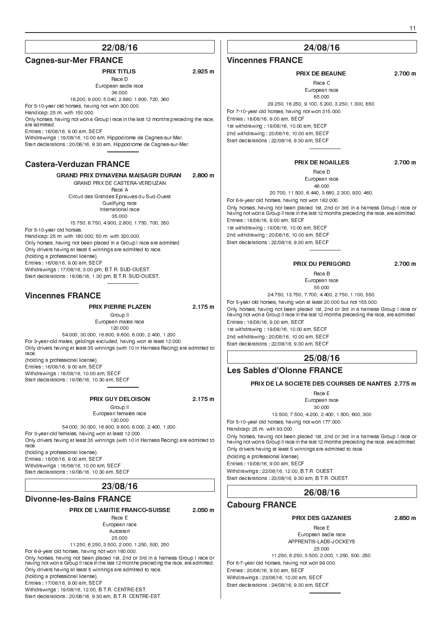#### **Cagnes-sur-Mer FRANCE**

### PRIX TITLIS 2.925 m

Race D European sadle race 36.000

16.200, 9.000, 5.040, 2.880, 1.800, 720, 360 For 5-10-year old horses, having not won 300.000.

Handicap: 25 m. with 150.000.

Only horses, having not won a Group I race in the last 12 months preceding the race, are admitted.

Entries : 16/08/16, 9.00 am, SECF

Withdrawings : 19/08/16, 10.00 am, Hippodrome de Cagnes-sur-Mer. Start declarations : 20/08/16, 9.30 am, Hippodrome de Cagnes-sur-Mer.

#### **Castera-Verduzan FRANCE**

GRAND PRIX DYNAVENA MAISAGRI DURAN 2.800 m GRAND PRIX DE CASTERA-VERDUZAN Race A

Circuit des Grandes Epreuves du Sud-Ouest Qualifying race International race 35.000

15.750, 8.750, 4.900, 2.800, 1.750, 700, 350

For 5-10-year old horses. Handicap: 25 m. with 180.000, 50 m. with 320.000. Only horses, having not been placed in a Group I race are admitted. Only drivers having at least 5 winnings are admitted to race. (holding a professional license). Entries : 16/08/16, 9.00 am, SECF Withdrawings : 17/08/16, 3.00 pm, B.T.R. SUD-OUEST. Start declarations : 18/08/16, 1.30 pm, B.T.R. SUD-OUEST.

### **Vincennes FRANCE**

#### PRIX PIERRE PLAZEN 2.175 m

Group II European males race 120.000 54.000, 30.000, 16.800, 9.600, 6.000, 2.400, 1.200. For 3-year-old males, geldings excluded, having won at least 12.000. Only drivers having at least 35 winnings (with 10 in Harness Racing) are admitted to race. (holding a professional license). Entries : 16/08/16, 9.00 am, SECF

Withdrawings : 18/08/16, 10.00 am, SECF Start declarations : 19/08/16, 10.30 am, SECF

#### PRIX GUY DELOISON 2.175 m

Group II European females race 120.000 54.000, 30.000, 16.800, 9.600, 6.000, 2.400, 1.200. For 3-year-old females, having won at least 12.000. Only drivers having at least 35 winnings (with 10 in Harness Racing) are admitted to (holding a professional license).

Entries : 16/08/16, 9.00 am, SECF Withdrawings : 18/08/16, 10.00 am, SECF Start declarations : 19/08/16, 10.30 am, SECF

race.

### **23/08/16**

#### **Divonne-les-Bains FRANCE**

PRIX DE L'AMITIE FRANCO-SUISSE 2.050 m

Race E European race Autostart 25.000

11.250, 6.250, 3.500, 2.000, 1.250, 500, 250 For 6-9-year old horses, having not won 160.000.

Only horses, having not been placed 1st, 2nd or 3rd in a harness Group I race or having not won a Group II race in the last 12 months preceding the race, are admitted. Only drivers having at least 5 winnings are admitted to race. (holding a professional license). Entries : 17/08/16, 9.00 am, SECF Withdrawings : 19/08/16, 12.00, B.T.R. CENTRE-EST.

Start declarations : 20/08/16, 9.30 am, B.T.R. CENTRE-EST.

### **24/08/16**

#### **Vincennes FRANCE**

#### PRIX DE BEAUNE 2.700 m

Race C European race

65.000 29.250, 16.250, 9.100, 5.200, 3.250, 1.300, 650. For 7-10-year old horses, having not won 315.000. Entries : 18/08/16, 9.00 am, SECF 1st withdrawing : 19/08/16, 10.00 am, SECF 2nd withdrawing : 20/08/16, 10.00 am, SECF Start declarations : 22/08/16, 9.30 am, SECF

#### PRIX DE NOAILLES 2.700 m Race D

European race 46.000 20.700, 11.500, 6.440, 3.680, 2.300, 920, 460.

For 6-9-year old horses, having not won 182.000. Only horses, having not been placed 1st, 2nd or 3rd in a harness Group I race or having not won a Group II race in the last 12 months preceding the race, are admitted. Entries : 18/08/16, 9.00 am, SECF 1st withdrawing : 19/08/16, 10.00 am, SECF 2nd withdrawing : 20/08/16, 10.00 am, SECF Start declarations : 22/08/16, 9.30 am, SECF

#### PRIX DU PERIGORD 2.700 m Race B

European race 55.000

24.750, 13.750, 7.700, 4.400, 2.750, 1.100, 550. For 5-year old horses, having won at least 20.000 but not 155.000. Only horses, having not been placed 1st, 2nd or 3rd in a harness Group I race or having not won a Group II race in the last 12 months preceding the race, are admitted. Entries : 18/08/16, 9.00 am, SECF 1st withdrawing : 19/08/16, 10.00 am, SECF 2nd withdrawing : 20/08/16, 10.00 am, SECF Start declarations : 22/08/16, 9.30 am, SECF

### **25/08/16**

### **Les Sables d'Olonne FRANCE**

#### PRIX DE LA SOCIETE DES COURSES DE NANTES 2.775 m

Race E European race 30.000

13.500, 7.500, 4.200, 2.400, 1.500, 600, 300 For 5-10-year old horses, having not won 177.000. Handicap: 25 m. with 93.000. Only horses, having not been placed 1st, 2nd or 3rd in a harness Group I race or having not won a Group II race in the last 12 months preceding the race, are admitted. Only drivers having at least 5 winnings are admitted to race. (holding a professional license). Entries : 19/08/16, 9.00 am, SECF Withdrawings : 22/08/16, 12.00, B.T.R. OUEST.

Start declarations : 23/08/16, 9.30 am, B.T.R. OUEST.

### **26/08/16**

#### **Cabourg FRANCE**

#### PRIX DES GAZANIES 2.850 m

Race E European sadle race APPRENTIS-LADS-JOCKEYS 25.000

11.250, 6.250, 3.500, 2.000, 1.250, 500, 250. For 6-7-year old horses, having not won 99.000. Entries : 20/08/16, 9.00 am, SECF Withdrawings : 23/08/16, 10.00 am, SECF Start declarations : 24/08/16, 9.30 am, SECF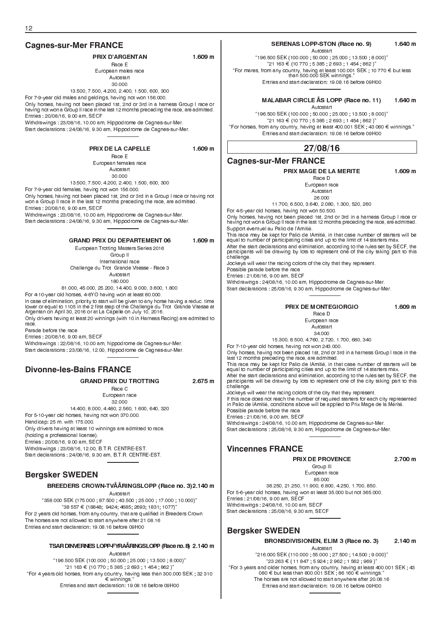### **Cagnes-sur-Mer FRANCE**

#### PRIX D'ARGENTAN 1.609 m Race E

European males race Autostart 30.000

13.500, 7.500, 4.200, 2.400, 1.500, 600, 300

For 7-9-year old males and geldings, having not won 156.000.

Only horses, having not been placed 1st, 2nd or 3rd in a harness Group I race or having not won a Group II race in the last 12 months preceding the race, are admitted. Entries : 20/08/16, 9.00 am, SECF

Withdrawings : 23/08/16, 10.00 am, Hippodrome de Cagnes-sur-Mer. Start declarations : 24/08/16, 9.30 am, Hippodrome de Cagnes-sur-Mer.

PRIX DE LA CAPELLE 1.609 m

Race E European females race Autostart 30.000 13.500, 7.500, 4.200, 2.400, 1.500, 600, 300

For 7-9-year old females, having not won 156.000.

Only horses, having not been placed 1st, 2nd or 3rd in a Group I race or having not won a Group II race in the last 12 months preceding the race, are admitted. Entries : 20/08/16, 9.00 am, SECF

Withdrawings : 23/08/16, 10.00 am, Hippodrome de Cagnes-sur-Mer. Start declarations : 24/08/16, 9.30 am, Hippodrome de Cagnes-sur-Mer.

#### GRAND PRIX DU DEPARTEMENT 06 1.609 m

European Trotting Masters Series 2016 Group II International race Challenge du Trot Grande Vitesse - Race 3 Autostart 180.000

81.000, 45.000, 25.200, 14.400, 9.000, 3.600, 1.800

For 4-10-year old horses, 4-8YO having won at least 80.000.

In case of elimination, priority to start will be given to any horse having a reduc. time lower or equal to 1105 in the 2 first step of the Challenge du Trot Grande Vitesse at Argentan on April 30, 2016 or at La Capelle on July 10, 2016.

Only drivers having at least 20 winnings (with 10 in Harness Racing) are admitted to race. Parade before the race

Entries : 20/08/16, 9.00 am, SECF

Withdrawings : 22/08/16, 10.00 am, hippodrome de Cagnes-sur-Mer. Start declarations : 23/08/16, 12.00, Hippodrome de Cagnes-sur-Mer.

### **Divonne-les-Bains FRANCE**

GRAND PRIX DU TROTTING 2.675 m

Race C European race 32.000

14.400, 8.000, 4.480, 2.560, 1.600, 640, 320 For 5-10-year old horses, having not won 370.000.

Handicap: 25 m. with 175.000. Only drivers having at least 10 winnings are admitted to race. (holding a professional license). Entries : 20/08/16, 9.00 am, SECF

Withdrawings : 23/08/16, 12.00, B.T.R. CENTRE-EST.

Start declarations : 24/08/16, 9.30 am, B.T.R. CENTRE-EST.

### **Bergsker SWEDEN**

#### BREEDERS CROWN-TVÅÅRINGSLOPP (Race no. 3)2.140 m

Autostart

358.000 SEK (175.000 ; 87.500 ; 43.500 ; 25.000 ; 17.000 ; 10.000) 38 557 ¤ (18848; 9424; 4685; 2693; 1831; 1077) For 2 years old horses, from any country, that are qualified in Breeders Crown The horses are not allowed to start anywhere after 21.08.16 Entries and start declaration: 19.08.16 before 09H00

#### TSAR DINVERNES LOPP-FYRAÅRINGSLOPP (Race no. 8) 2.140 m

Autostart 196.500 SEK (100.000 ; 50.000 ; 25.000 ; 13.500 ; 8.000)  $"21 163 \in (10 770, 5 385, 2 693, 1 454, 862)"$ For 4 years old horses, from any country, having less than 300.000 SEK ; 32 310 ¤ winnings. Entries and start declaration: 19.08.16 before 09H00

#### SERENAS LOPP-STON (Race no. 9) 1.640 m

Autostart

196.500 SEK (100.000 ; 50.000 ; 25.000 ; 13.500 ; 8.000)  $"21 163 \in (10 770, 5 385, 2 693, 1 454, 862)"$ "For mares, from any country, having at least 100.001 SEK ; 10 770 € but less<br>than 500.000 SEK winnings." Entries and start declaration: 19.08.16 before 09H00

MALABAR CIRCLE ÅS LOPP (Race no. 11) 1.640 m

Autostart 196.500 SEK (100.000 ; 50.000 ; 25.000 ; 13.500 ; 8.000)  $0.21$  163 € (10 770  $\frac{1}{2}$  5 385 ; 2 693 ; 1 454 ; 862 )" "For horses, from any country, having at least 400.001 SEK ; 43 080  $\bm{\epsilon}$  winnings." Entries and start declaration: 19.08.16 before 09H00

### **27/08/16**

#### **Cagnes-sur-Mer FRANCE**

#### PRIX MAGE DE LA MERITE 1.609 m

Race D European race Autostart 26.000

11.700, 6.500, 3.640, 2.080, 1.300, 520, 260

For 4-5-year old horses, having not won 50.500.

Only horses, having not been placed 1st, 2nd or 3rd in a harness Group I race or having not won a Group II race in the last 12 months preceding the race, are admitted. Support éventuel au Palio de lAmitié.

This race may be kept for Palio de lAmitié, in that case number of starters will be equal to number of participating cities and up to the limit of 14 starters max. After the start declarations and elimination, according to the rules set by SECF, the participants will be drawing by lots to represent one of the city taking part to this challenge.

Jockeys will wear the racing colors of the city that they represent.

Possible parade before the race

Entries : 21/08/16, 9.00 am, SECF

Withdrawings : 24/08/16, 10.00 am, Hippodrome de Cagnes-sur-Mer.

Start declarations : 25/08/16, 9.30 am, Hippodrome de Cagnes-sur-Mer.

PRIX DE MONTEGIORGIO 1.609 m

Race D European race Autostart 34.000

15.300, 8.500, 4.760, 2.720, 1.700, 680, 340

For 7-10-year old horses, having not won 243.000.

Only horses, having not been placed 1st, 2nd or 3rd in a harness Group I race in the last 12 months preceding the race, are admitted.

This race may be kept for Palio de lAmitié, in that case number of starters will be equal to number of participating cities and up to the limit of 14 starters max. After the start declarations and elimination, according to the rules set by SECF, the participants will be drawing by lots to represent one of the city taking part to this challenge.

Jockeys will wear the racing colors of the city that they represent. If this race does not reach the number of required starters for each city represented in Palio de lAmitié, conditions above will be applied to Prix Mage de la Mérité. Possible parade before the race Entries : 21/08/16, 9.00 am, SECF Withdrawings : 24/08/16, 10.00 am, Hippodrome de Cagnes-sur-Mer.

Start declarations : 25/08/16, 9.30 am, Hippodrome de Cagnes-sur-Mer.

### **Vincennes FRANCE**

PRIX DE PROVENCE 2.700 m

Group III European race 85.000

38.250, 21.250, 11.900, 6.800, 4.250, 1.700, 850. For 5-6-year old horses, having won at least 35.000 but not 365.000. Entries : 21/08/16, 9.00 am, SECF Withdrawings : 24/08/16, 10.00 am, SECF

Start declarations : 25/08/16, 9.30 am, SECF

### **Bergsker SWEDEN**

BRONSDIVISIONEN, ELIM 3 (Race no. 3) 2.140 m

Autostart 216.000 SEK (110.000 ; 55.000 ; 27.500 ; 14.500 ; 9.000)  $"23\,263 \in (11\,847\,;\,5\,924\,;\,2\,962\,;\,1\,562\,;\,969\,)^n$ "For 3 years and older horses, from any country, having at least 400.001 SEK ; 43<br>080 € but less than 800.001 SEK ; 86 160 € winnings." The horses are not allowed to start anywhere after 20.08.16 Entries and start declaration: 19.08.16 before 09H00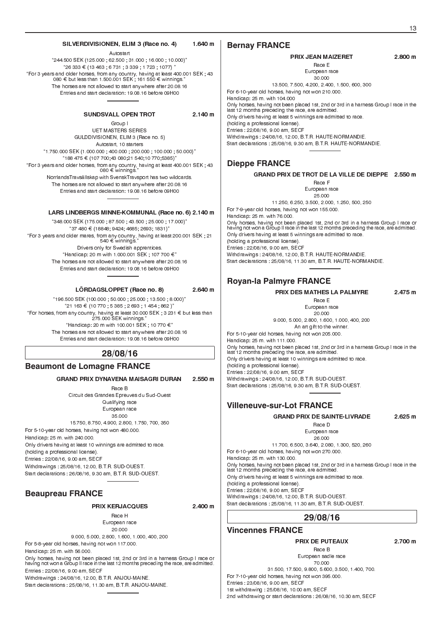#### SILVERDIVISIONEN, ELIM 3 (Race no. 4) 1.640 m

Autostart 244.500 SEK (125.000 ; 62.500 ; 31.000 ; 16.000 ; 10.000)  $26333 \in (13463 \div 6731 \div 3339 \div 1723 \div 1077)$ "For 3 years and older horses, from any country, having at least 400.001 SEK ; 43<br>080 € but less than 1.500.001 SEK ; 161 550 € winnings." The horses are not allowed to start anywhere after 20.08.16 Entries and start declaration: 19.08.16 before 09H00

#### SUNDSVALL OPEN TROT 2.140 m

Group I

UET MASTERS SERIES GULDDIVISIONEN, ELIM 3 (Race no. 5) Autostart, 10 starters 1.750.000 SEK (1.000.000 ; 400.000 ; 200.000 ; 100.000 ; 50.000) 188 475 ¤ (107 700;43 080;21 540;10 770;5385) For 3 years and older horses, from any country, having at least 400.001 SEK ; 43 080 ¤ winnings. NorrlandsTravsällskap with SvenskTravsport has two wildcards. The horses are not allowed to start anywhere after 20.08.16 Entries and start declaration: 19.08.16 before 09H00

#### LARS LINDBERGS MINNE-KOMMUNAL (Race no. 6) 2.140 m

348.000 SEK (175.000 ; 87.500 ; 43.500 ; 25.000 ; 17.000) 37 480 ¤ (18848; 9424; 4685; 2693; 1831) For 3 years and older mares, from any country, having at least 200.001 SEK ; 21 540 ¤ winnings. Drivers only for Swedish apprentices. "Handicap: 20 m with 1.000.001 SEK ; 107 700 €" The horses are not allowed to start anywhere after 20.08.16 Entries and start declaration: 19.08.16 before 09H00

LÖRDAGSLOPPET (Race no. 8) 2.640 m

196.500 SEK (100.000 ; 50.000 ; 25.000 ; 13.500 ; 8.000)  $0.21$  163 € (10 770 ; 5 385 ; 2 693 ; 1 454 ; 862 )" "For horses, from any country, having at least 30.000 SEK ; 3 231 € but less than<br>275.000 SEK winnings."  $H$ andicap: 20 m with 100.001 SEK : 10 770  $\in$ " The horses are not allowed to start anywhere after 20.08.16 Entries and start declaration: 19.08.16 before 09H00

# **28/08/16**

### **Beaumont de Lomagne FRANCE**

#### GRAND PRIX DYNAVENA MAISAGRI DURAN 2.550 m

Race B Circuit des Grandes Epreuves du Sud-Ouest Qualifying race European race 35.000 15.750, 8.750, 4.900, 2.800, 1.750, 700, 350 For 5-10-year old horses, having not won 480.000. Handicap: 25 m. with 240.000. Only drivers having at least 10 winnings are admitted to race. (holding a professional license). Entries : 22/08/16, 9.00 am, SECF Withdrawings : 25/08/16, 12.00, B.T.R. SUD-OUEST. Start declarations : 26/08/16, 9.30 am, B.T.R. SUD-OUEST.

#### **Beaupreau FRANCE**

#### PRIX KERJACQUES 2.400 m

Race H European race 20.000

9.000, 5.000, 2.800, 1.600, 1.000, 400, 200 For 5-8-year old horses, having not won 117.000.

Handicap: 25 m. with 56.000.

Only horses, having not been placed 1st, 2nd or 3rd in a harness Group I race or having not won a Group II race in the last 12 months preceding the race, are admitted. Entries : 22/08/16, 9.00 am, SECF

Withdrawings : 24/08/16, 12.00, B.T.R. ANJOU-MAINE.

Start declarations : 25/08/16, 11.30 am, B.T.R. ANJOU-MAINE.

#### **Bernay FRANCE**

### PRIX JEAN MAIZERET 2.800 m

Race E European race

30.000 13.500, 7.500, 4.200, 2.400, 1.500, 600, 300 For 6-10-year old horses, having not won 210.000. Handicap: 25 m. with 104.000 Only horses, having not been placed 1st, 2nd or 3rd in a harness Group I race in the last 12 months preceding the race, are admitted. Only drivers having at least 5 winnings are admitted to race. (holding a professional license). Entries : 22/08/16, 9.00 am, SECF Withdrawings : 24/08/16, 12.00, B.T.R. HAUTE-NORMANDIE. Start declarations : 25/08/16, 9.30 am, B.T.R. HAUTE-NORMANDIE.

#### **Dieppe FRANCE**

### GRAND PRIX DE TROT DE LA VILLE DE DIEPPE 2.550 m

Race F European race 25.000 11.250, 6.250, 3.500, 2.000, 1.250, 500, 250 For 7-9-year old horses, having not won 155.000. Handicap: 25 m. with 76.000. Only horses, having not been placed 1st, 2nd or 3rd in a harness Group I race or having not won a Group II race in the last 12 months preceding the race, are admitted. Only drivers having at least 5 winnings are admitted to race. (holding a professional license). Entries : 22/08/16, 9.00 am, SECF Withdrawings : 24/08/16, 12.00, B.T.R. HAUTE-NORMANDIE.

Start declarations : 25/08/16, 11.30 am, B.T.R. HAUTE-NORMANDIE.

### **Royan-la Palmyre FRANCE**

PRIX DES MATHES LA PALMYRE 2.475 m

Race E European race

20.000 9.000, 5.000, 2.800, 1.600, 1.000, 400, 200 An art gift to the winner.

For 5-10-year old horses, having not won 205.000.

Handicap: 25 m. with 111.000. Only horses, having not been placed 1st, 2nd or 3rd in a harness Group I race in the last 12 months preceding the race, are admitted. Only drivers having at least 10 winnings are admitted to race. (holding a professional license). .<br>Entries : 22/08/16, 9.00 am, SECF Withdrawings : 24/08/16, 12.00, B.T.R. SUD-OUEST. Start declarations : 25/08/16, 9.30 am, B.T.R. SUD-OUEST.

### **Villeneuve-sur-Lot FRANCE**

#### GRAND PRIX DE SAINTE-LIVRADE 2.625 m

Race D European race 26.000

11.700, 6.500, 3.640, 2.080, 1.300, 520, 260 For 6-10-year old horses, having not won 270.000. Handicap: 25 m. with 130.000. Only horses, having not been placed 1st, 2nd or 3rd in a harness Group I race in the last 12 months preceding the race, are admitted. Only drivers having at least 5 winnings are admitted to race. (holding a professional license). Entries : 22/08/16, 9.00 am, SECF Withdrawings : 24/08/16, 12.00, B.T.R. SUD-OUEST. Start declarations : 25/08/16, 11.30 am, B.T.R. SUD-OUEST.

#### **29/08/16**

#### **Vincennes FRANCE**

#### PRIX DE PUTEAUX 2.700 m

Race B European sadle race 70.000 31.500, 17.500, 9.800, 5.600, 3.500, 1.400, 700. For 7-10-year old horses, having not won 395.000. Entries : 23/08/16, 9.00 am, SECF 1st withdrawing : 25/08/16, 10.00 am, SECF 2nd withdrawing or start declarations : 26/08/16, 10.30 am, SECF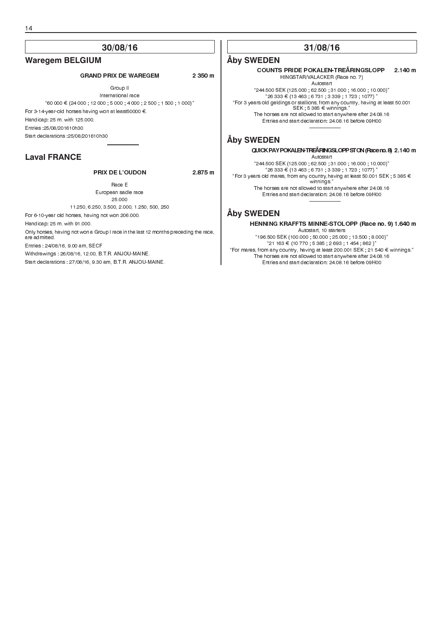#### 14

### **30/08/16**

#### **Waregem BELGIUM**

#### GRAND PRIX DE WAREGEM 2 350 m

Group II International race  $60 000 \in (24 000, 12 000, 5 000, 4 000, 2 500, 1 500, 1 000)^n$ For 3-14-year-old horses having won at least50000  $\epsilon$ . Handicap: 25 m. with 125.000. Entries :25/08/201610h30 Start declarations :25/08/201610h30

### **Laval FRANCE**

#### PRIX DE L'OUDON 2.875 m

Race E European sadle race 25.000

11.250, 6.250, 3.500, 2.000, 1.250, 500, 250

For 6-10-year old horses, having not won 206.000.

Handicap: 25 m. with 91.000.

Only horses, having not won a Group I race in the last 12 months preceding the race, are admitted.

Entries : 24/08/16, 9.00 am, SECF

Withdrawings : 26/08/16, 12.00, B.T.R. ANJOU-MAINE.

Start declarations : 27/08/16, 9.30 am, B.T.R. ANJOU-MAINE.

### **31/08/16**

#### **Åby SWEDEN**

COUNTS PRIDE POKALEN-TREÅRINGSLOPP 2.140 m HINGSTAR/VALACKER (Race no. 7) Autostart

"244.500 SEK (125.000 ; 62.500 ; 31.000 ; 16.000 ; 10.000)"<br>"26 333 € (13 463 ; 6 731 ; 3 339 ; 1 723 ; 1077) " For 3 years old geldings or stallions, from any country, having at least 50.001  $SEK$  ; 5 385  $\in$  winnings. The horses are not allowed to start anywhere after 24.08.16 Entries and start declaration: 24.08.16 before 09H00

### **Åby SWEDEN**

QUICKPAYPOKALEN-TREÅRINGSLOPPSTON(Raceno.8) 2.140 m

Autostart

"244.500 SEK (125.000 ; 62.500 ; 31.000 ; 16.000 ; 10.000)"<br>"26 333 € (13 463 ; 6 731 ; 3 339 ; 1 723 ; 1077) " "For 3 years old mares, from any country,having at least 50.001 SEK ; 5 385 €<br>winnings."

The horses are not allowed to start anywhere after 24.08.16 Entries and start declaration: 24.08.16 before 09H00

### **Åby SWEDEN**

HENNING KRAFFTS MINNE-STOLOPP (Race no. 9) 1.640 m

Autostart, 10 starters 196.500 SEK (100.000 ; 50.000 ; 25.000 ; 13.500 ; 8.000)  $21 163 \in (10 770, 5 385, 2 693, 1 454, 862)$ "For mares, from any country, having at least 200.001 SEK ; 21 540  $\bm{\in}$  winnings." The horses are not allowed to start anywhere after 24.08.16 Entries and start declaration: 24.08.16 before 09H00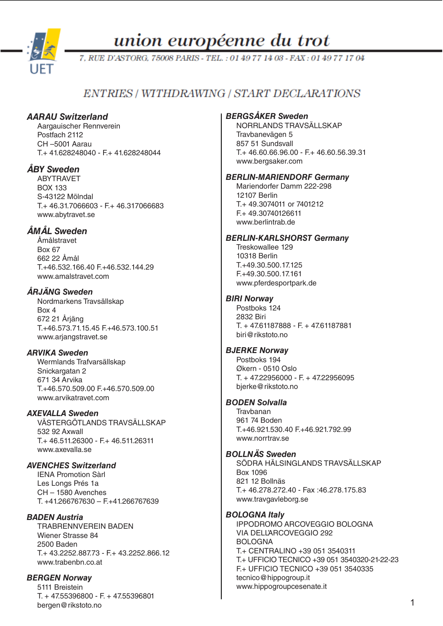

union européenne du trot

7. RUE D'ASTORG, 75008 PARIS - TEL.: 01 49 77 14 03 - FAX: 01 49 77 17 04

# **ENTRIES / WITHDRAWING / START DECLARATIONS**

# *AARAU Switzerland*

Aargauischer Rennverein Postfach 2112 CH –5001 Aarau  $T + 41628248040 - F + 41628248044$ 

# *ÅBY Sweden*

ABYTRAVET BOX 133 S-43122 Mölndal T.+ 46.31.7066603 - F.+ 46.317066683 www.abytravet.se

# *ÅMÅL Sweden*

Åmålstravet Box 67 662 22 Åmål T.+46.532.166.40 F.+46.532.144.29 www.amalstravet.com

# *ÅRJÄNG Sweden*

Nordmarkens Travsällskap Box 4 672 21 Årjäng T.+46.573.71.15.45 F.+46.573.100.51 www.arjangstravet.se

# *ARVIKA Sweden*

Wermlands Trafvarsällskap Snickargatan 2 671 34 Arvika T.+46.570.509.00 F.+46.570.509.00 www.arvikatravet.com

# *AXEVALLA Sweden*

VÄSTERGÖTLANDS TRAVSÄLLSKAP 532 92 Axwall T.+ 46.511.26300 - F.+ 46.511.26311 www.axevalla.se

# *AVENCHES Switzerland*

IENA Promotion Sàrl Les Longs Prés 1a CH – 1580 Avenches T. +41.266767630 – F.+41.266767639

# *BADEN Austria*

TRABRENNVEREIN BADEN Wiener Strasse 84 2500 Baden T.+ 43.2252.887.73 - F.+ 43.2252.866.12 www.trabenbn.co.at

# *BERGEN Norway*

5111 Breistein T. + 47.55396800 - F. + 47.55396801 bergen@rikstoto.no

### *BERGSÅKER Sweden*

NORRLANDS TRAVSÄLLSKAP Travbanevägen 5 857 51 Sundsvall  $T+46.60.66.96.00 - F+46.60.56.39.31$ www.bergsaker.com

### *BERLIN-MARIENDORF Germany*

Mariendorfer Damm 222-298 12107 Berlin T.+ 49.3074011 or 7401212 F.+ 49.30740126611 [www.berlintrab.de](http://www.berlintrab.de)

### *BERLIN-KARLSHORST Germany*

Treskowallee 129 10318 Berlin T.+49.30.500.17.125 F.+49.30.500.17.161 [www.pferdesportpark.de](http://www.pferdesportpark.de)

### *BIRI Norway*

Postboks 124 2832 Biri T. + 47.61187888 - F. + 47.61187881 biri@rikstoto.no

### *BJERKE Norway*

Postboks 194 Økern - 0510 Oslo T. + 47.22956000 - F. + 47.22956095 bjerke@rikstoto.no

### *BODEN Solvalla*

**Travbanan** 961 74 Boden T.+46.921.530.40 F.+46.921.792.99 www.norrtray.se

### *BOLLNÄS Sweden*

SÖDRA HÄLSINGLANDS TRAVSÄLLSKAP Box 1096 821 12 Bollnäs T.+ 46.278.272.40 - Fax :46.278.175.83 www.travgavleborg.se

### *BOLOGNA Italy*

IPPODROMO ARCOVEGGIO BOLOGNA VIA DELL'ARCOVEGGIO 292 BOLOGNA T.+ CENTRALINO +39 051 3540311 T.+ UFFICIO TECNICO +39 051 3540320-21-22-23 F.+ UFFICIO TECNICO +39 051 3540335 [tecnico@hippogroup.it](mailto:tecnico@hippogroup.it) www.hippogroupcesenate.it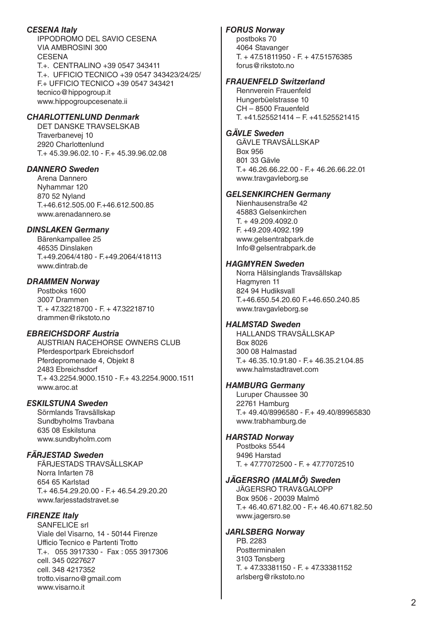### *CESENA Italy*

IPPODROMO DEL SAVIO CESENA VIA AMBROSINI 300 **CESENA** T.+. CENTRALINO +39 0547 343411 T.+. UFFICIO TECNICO +39 0547 343423/24/25/ F.+ UFFICIO TECNICO +39 0547 343421 [tecnico@hippogroup.it](mailto:tecnico@hippogroup.it) www.hippogroupcesenate.ii

# *CHARLOTTENLUND Denmark*

DET DANSKE TRAVSELSKAB Traverbanevej 10 2920 Charlottenlund T.+ 45.39.96.02.10 - F.+ 45.39.96.02.08

### *DANNERO Sweden*

Arena Dannero Nyhammar 120 870 52 Nyland T.+46.612.505.00 F.+46.612.500.85 www.arenadannero.se

### *DINSLAKEN Germany*

Bärenkampallee 25 46535 Dinslaken T.+49.2064/4180 - F.+49.2064/418113 www.dintrab.de

### *DRAMMEN Norway*

Postboks 1600 3007 Drammen T. + 47.32218700 - F. + 47.32218710 drammen@rikstoto.no

### *EBREICHSDORF Austria*

AUSTRIAN RACEHORSE OWNERS CLUB Pferdesportpark Ebreichsdorf Pferdepromenade 4, Objekt 8 2483 Ebreichsdorf T.+ 43.2254.9000.1510 - F.+ 43.2254.9000.1511 www.aroc.at

### *ESKILSTUNA Sweden*

Sörmlands Travsällskap Sundbyholms Travbana 635 08 Eskilstuna www.sundbyholm.com

### *FÄRJESTAD Sweden*

FÄRJESTADS TRAVSÄLLSKAP Norra Infarten 78 654 65 Karlstad  $T+46.54.29.20.00 - F+46.54.29.20.20$ www.farjesstadstravet.se

# *FIRENZE Italy*

SANFELICE srl Viale del Visarno, 14 - 50144 Firenze Ufficio Tecnico e Partenti Trotto T.+. 055 3917330 - Fax : 055 3917306 cell. 345 0227627 cell. 348 4217352 [trotto.visarno@gmail.com](mailto:trotto.visarno@gmail.com) www.visarno.it

# *FORUS Norway*

postboks 70 4064 Stavanger T. + 47.51811950 - F. + 47.51576385 forus@rikstoto.no

### *FRAUENFELD Switzerland*

Rennverein Frauenfeld Hungerbüelstrasse 10 CH – 8500 Frauenfeld T. +41.525521414 – F. +41.525521415

### *GÄVLE Sweden*

GÄVLE TRAVSÄLLSKAP Box 956 801 33 Gävle T.+ 46.26.66.22.00 - F.+ 46.26.66.22.01 www.travgavleborg.se

### *GELSENKIRCHEN Germany*

Nienhausenstraße 42 45883 Gelsenkirchen T. + 49.209.4092.0 F. +49.209.4092.199 www.gelsentrabpark.de Info@gelsentrabpark.de

### *HAGMYREN Sweden*

Norra Hälsinglands Travsällskap Hagmyren 11 824 94 Hudiksvall T.+46.650.54.20.60 F.+46.650.240.85 www.travgavleborg.se

# *HALMSTAD Sweden*

HALLANDS TRAVSÄLLSKAP Box 8026 300 08 Halmastad T.+ 46.35.10.91.80 - F.+ 46.35.21.04.85 www.halmstadtravet.com

### *HAMBURG Germany*

Luruper Chaussee 30 22761 Hamburg T.+ 49.40/8996580 - F.+ 49.40/89965830 www.trabhamburg.de

### *HARSTAD Norway*

Postboks 5544 9496 Harstad T. + 47.77072500 - F. + 47.77072510

### *JÄGERSRO (MALMÖ) Sweden*

JÄGERSRO TRAV&GALOPP Box 9506 - 20039 Malmö T.+ 46.40.671.82.00 - F.+ 46.40.671.82.50 www.jagersro.se

### *JARLSBERG Norway*

PB. 2283 Postterminalen 3103 Tønsberg T. + 47.33381150 - F. + 47.33381152 arlsberg@rikstoto.no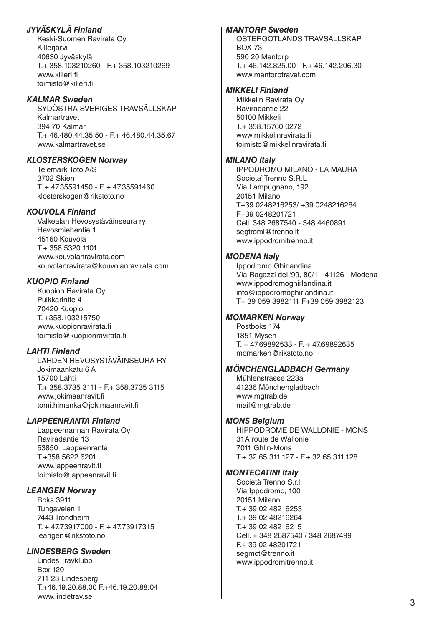# *JYVÄSKYLÄ Finland*

Keski-Suomen Ravirata Oy Killerjärvi 40630 Jyväskylä T.+ 358.103210260 - F.+ 358.103210269 www.killeri.fi toimisto@killeri.fi

### *KALMAR Sweden*

SYDÖSTRA SVERIGES TRAVSÄLLSKAP Kalmartravet 394 70 Kalmar T.+ 46.480.44.35.50 - F.+ 46.480.44.35.67 www.kalmartravet.se

### *KLOSTERSKOGEN Norway*

Telemark Toto A/S 3702 Skien T. + 47.35591450 - F. + 47.35591460 klosterskogen@rikstoto.no

### *KOUVOLA Finland*

Valkealan Hevosystäväinseura ry Hevosmiehentie 1 45160 Kouvola T.+ 358.5320 1101 www.kouvolanravirata.com kouvolanravirata@kouvolanravirata.com

### *KUOPIO Finland*

Kuopion Ravirata Oy Puikkarintie 41 70420 Kuopio T. +358.103215750 www.kuopionravirata.fi toimisto@kuopionravirata.fi

### *LAHTI Finland*

LAHDEN HEVOSYSTÄVÄINSEURA RY Jokimaankatu 6 A 15700 Lahti T.+ 358.3735 3111 - F.+ 358.3735 3115 www.jokimaanravit.fi tomi.himanka@jokimaanravit.fi

# *LAPPEENRANTA Finland*

Lappeenrannan Ravirata Oy Raviradantie 13 53850 Lappeenranta T.+358.5622 6201 www.lappeenravit.fi toimisto@lappeenravit.fi

### *LEANGEN Norway*

Boks 3911 Tungaveien 1 7443 Trondheim T. + 47.73917000 - F. + 47.73917315 leangen@rikstoto.no

### *LINDESBERG Sweden*

Lindes Travklubb Box 120 711 23 Lindesberg T.+46.19.20.88.00 F.+46.19.20.88.04 www.lindetrav.se

### *MANTORP Sweden*

ÖSTERGÖTLANDS TRAVSÄLLSKAP BOX 73 590 20 Mantorp T.+ 46.142.825.00 - F.+ 46.142.206.30 www.mantorptravet.com

### *MIKKELI Finland*

Mikkelin Ravirata Oy Raviradantie 22 50100 Mikkeli T.+ 358.15760 0272 www.mikkelinravirata.fi toimisto@mikkelinravirata.fi

### *MILANO Italy*

IPPODROMO MILANO - LA MAURA Societa' Trenno S.R.L Via Lampugnano, 192 20151 Milano T+39 0248216253/ +39 0248216264 F+39 0248201721 Cell. 348 2687540 - 348 4460891 [segtromi@trenno.it](mailto:segtromi@trenno.it) www.ippodromitrenno.it

### *MODENA Italy*

Ippodromo Ghirlandina Via Ragazzi del '99, 80/1 - 41126 - Modena [www.ippodromoghirlandina.it](http://www.ippodromoghirlandina.it) [info@ippodromoghirlandina.it](mailto:info@ippodromoghirlandina.it) T+ 39 059 3982111 F+39 059 3982123

### *MOMARKEN Norway*

Postboks 174 1851 Mysen T. + 47.69892533 - F. + 47.69892635 momarken@rikstoto.no

### *MÖNCHENGLADBACH Germany*

Mühlenstrasse 223a 41236 Mönchengladbach www.mgtrab.de mail@mgtrab.de

### *MONS Belgium*

HIPPODROME DE WALLONIE - MONS 31A route de Wallonie 7011 Ghlin-Mons T.+ 32.65.311.127 - F.+ 32.65.311.128

### *MONTECATINI Italy*

Società Trenno S.r.l. Via Ippodromo, 100 20151 Milano T.+ 39 02 48216253 T.+ 39 02 48216264 T.+ 39 02 48216215 Cell. + 348 2687540 / 348 2687499 F.+ 39 02 48201721 [segmct@trenno.it](mailto:segmct@trenno.it) www.ippodromitrenno.it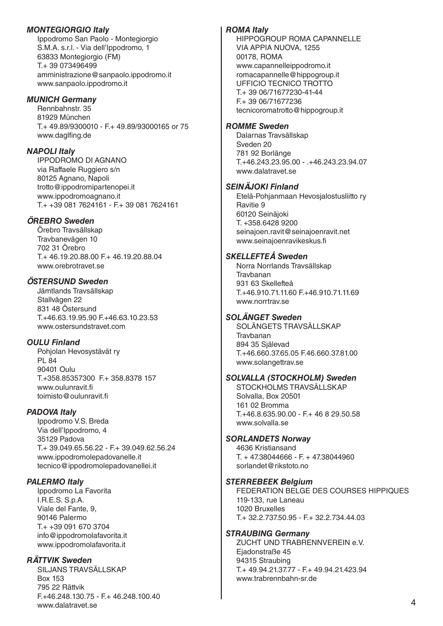### *MONTEGIORGIO Italy*

Ippodromo San Paolo - Montegiorgio S.M.A. s.r.l. - Via dell'Ippodromo, 1 63833 Montegiorgio (FM) T.+ 39 073496499 [amministrazione@sanpaolo.ippodromo.it](mailto:amministrazione@sanpaolo.ippodromo.it) [www.sanpaolo.ippodromo.it](http://www.sanpaolo.ippodromo.it)

### *MUNICH Germany*

Rennbahnstr. 35 81929 München T.+ 49.89/9300010 - F.+ 49.89/93000165 or 75 [www.daglfing.de](http://www.daglfing.de)

### *NAPOLI Italy*

IPPODROMO DI AGNANO via Raffaele Ruggiero s/n 80125 Agnano, Napoli [trotto@ippodromipartenopei.it](mailto:trotto@ippodromipartenopei.it) www.ippodromoagnano.it T.+ +39 081 7624161 - F.+ 39 081 7624161

### *ÖREBRO Sweden*

Örebro Travsällskap Travbanevägen 10 702 31 Örebro T.+ 46.19.20.88.00 F.+ 46.19.20.88.04 www.orebrotravet.se

### *ÖSTERSUND Sweden*

Jämtlands Travsällskap Stallvägen 22 831 48 Östersund T.+46.63.19.95.90 F.+46.63.10.23.53 www.ostersundstravet.com

### *OULU Finland*

Pohjolan Hevosystävät ry PL 84 90401 Oulu T.+358.85357300 F.+ 358.8378 157 www.oulunravit.fi toimisto@oulunravit.fi

### *PADOVA Italy*

Ippodromo V.S. Breda Via dell'Ippodromo, 4 35129 Padova T.+ 39.049.65.56.22 - F.+ 39.049.62.56.24 [www.ippodromolepadovanelle.it](http://www.ippodromolepadovanelle.it) tecnico@ippodromolepadovanellei.it

### *PALERMO Italy*

Ippodromo La Favorita I.R.E.S. S.p.A. Viale del Fante, 9, 90146 Palermo T.+ +39 091 670 3704 [info@ippodromolafavorita.it](mailto:info@ippodromolafavorita.it) www.ippodromolafavorita.it

### *RÄTTVIK Sweden*

SILJANS TRAVSÄLLSKAP Box 153 795 22 Rättvik F.+46.248.130.75 - F.+ 46.248.100.40 www.dalatravet.se

### *ROMA Italy*

HIPPOGROUP ROMA CAPANNELLE VIA APPIA NUOVA, 1255 00178, ROMA [www.capannelleippodromo.it](http://www.capannelleippodromo.it/) [romacapannelle@hippogroup.it](mailto:romacapannelle@hippogroup.it) UFFICIO TECNICO TROTTO T.+ 39 06/71677230-41-44 F.+ 39 06/71677236 [tecnicoromatrotto@hippogroup.it](mailto:tecnicoromatrotto@hippogroup.it)

### *ROMME Sweden*

Dalarnas Travsällskap Sveden 20 781 92 Borlänge T.+46.243.23.95.00 - .+46.243.23.94.07 www.dalatravet.se

### *SEINÄJOKI Finland*

Etelä-Pohjanmaan Hevosjalostusliitto ry Ravitie 9 60120 Seinäjoki T. +358.6428 9200 seinajoen.ravit@seinajoenravit.net www.seinajoenravikeskus.fi

### *SKELLEFTEÅ Sweden*

Norra Norrlands Travsällskap Travbanan 931 63 Skellefteå T.+46.910.71.11.60 F.+46.910.71.11.69 www.norrtrav.se

### *SOLÄNGET Sweden*

SOLÄNGETS TRAVSÄLLSKAP **Travbanan** 894 35 Själevad T.+46.660.37.65.05 F.46.660.37.81.00 www.solangettrav.se

### *SOLVALLA (STOCKHOLM) Sweden*

STOCKHOLMS TRAVSÄLLSKAP Solvalla, Box 20501 161 02 Bromma T.+46.8.635.90.00 - F.+ 46 8 29.50.58 www.solvalla.se

### *SORLANDETS Norway*

4636 Kristiansand T. + 47.38044666 - F. + 47.38044960 sorlandet@rikstoto.no

### *STERREBEEK Belgium*

FEDERATION BELGE DES COURSES HIPPIQUES 119-133, rue Laneau 1020 Bruxelles T.+ 32.2.737.50.95 - F.+ 32.2.734.44.03

### *STRAUBING Germany*

ZUCHT UND TRABRENNVEREIN e.V. Ejadonstraße 45 94315 Straubing T.+ 49.94.21.37.77 - F.+ 49.94.21.423.94 www.trabrennbahn-sr.de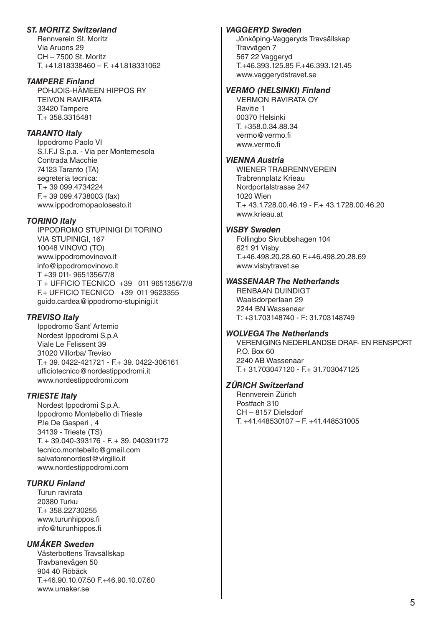# *ST. MORITZ Switzerland*

Rennverein St. Moritz Via Aruons 29 CH – 7500 St. Moritz T. +41.818338460 – F. +41.818331062

### *TAMPERE Finland*

POHJOIS-HÄMEEN HIPPOS RY TEIVON RAVIRATA 33420 Tampere T.+ 358.3315481

### *TARANTO Italy*

Ippodromo Paolo VI S.I.F.J S.p.a. - Via per Montemesola Contrada Macchie 74123 Taranto (TA) segreteria tecnica: T.+ 39 099.4734224 F.+ 39 099.4738003 (fax) www.ippodromopaolosesto.it

### *TORINO Italy*

IPPODROMO STUPINIGI DI TORINO VIA STUPINIGI, 167 10048 VINOVO (TO) www.ippodromovinovo.it info@ippodromovinovo.it T +39 011- 9651356/7/8 T + UFFICIO TECNICO +39 011 9651356/7/8 F.+ UFFICIO TECNICO +39 011 9623355 guido.cardea@ippodromo-stupinigi.it

### *TREVISO Italy*

Ippodromo Sant' Artemio Nordest Ippodromi S.p.A Viale Le Felissent 39 31020 Villorba/ Treviso T.+ 39. 0422-421721 - F.+ 39. 0422-306161 [ufficiotecnico@nordestippodromi.it](mailto:ufficiotecnico@nordestippodromi.it) www.nordestippodromi.com

### *TRIESTE Italy*

Nordest Ippodromi S.p.A. Ippodromo Montebello di Trieste P.le De Gasperi , 4 34139 - Trieste (TS) T. + 39.040-393176 - F. + 39. 040391172 [tecnico.montebello@gmail.com](mailto:tecnico.montebello@gmail.com) [salvatorenordest@virgilio.it](mailto:salvatorenordest@virgilio.it) www.nordestippodromi.com

### *TURKU Finland*

Turun ravirata 20380 Turku T.+ 358.22730255 www.turunhippos.fi info@turunhippos.fi

### *UMÅKER Sweden*

Västerbottens Travsällskap Travbanevägen 50 904 40 Röbäck T.+46.90.10.07.50 F.+46.90.10.07.60 www.umaker.se

### *VAGGERYD Sweden*

Jönköping-Vaggeryds Travsällskap Travvägen 7 567 22 Vaggeryd T.+46.393.125.85 F.+46.393.121.45 www.vaggerydstravet.se

### *VERMO (HELSINKI) Finland*

VERMON RAVIRATA OY Ravitie 1 00370 Helsinki T. +358.0.34.88.34 [vermo@vermo.fi](mailto:vermo@vermo.fi) [www.vermo.fi](http://www.vermo.fi)

### *VIENNA Austria*

WIENER TRABRENNVEREIN Trabrennplatz Krieau Nordportalstrasse 247 1020 Wien T.+ 43.1.728.00.46.19 - F.+ 43.1.728.00.46.20 www.krieau.at

### *VISBY Sweden*

Follingbo Skrubbshagen 104 621 91 Visby T.+46.498.20.28.60 F.+46.498.20.28.69 www.visbytravet.se

### *WASSENAAR The Netherlands*

RENBAAN DUINDIGT Waalsdorperlaan 29 2244 BN Wassenaar T: +31.703148740 - F: 31.703148749

### *WOLVEGA The Netherlands*

VERENIGING NEDERLANDSE DRAF- EN RENSPORT P.O. Box 60 2240 AB Wassenaar T.+ 31.703047120 - F.+ 31.703047125

### *ZÜRICH Switzerland*

Rennverein Zürich Postfach 310 CH – 8157 Dielsdorf T. +41.448530107 – F. +41.448531005